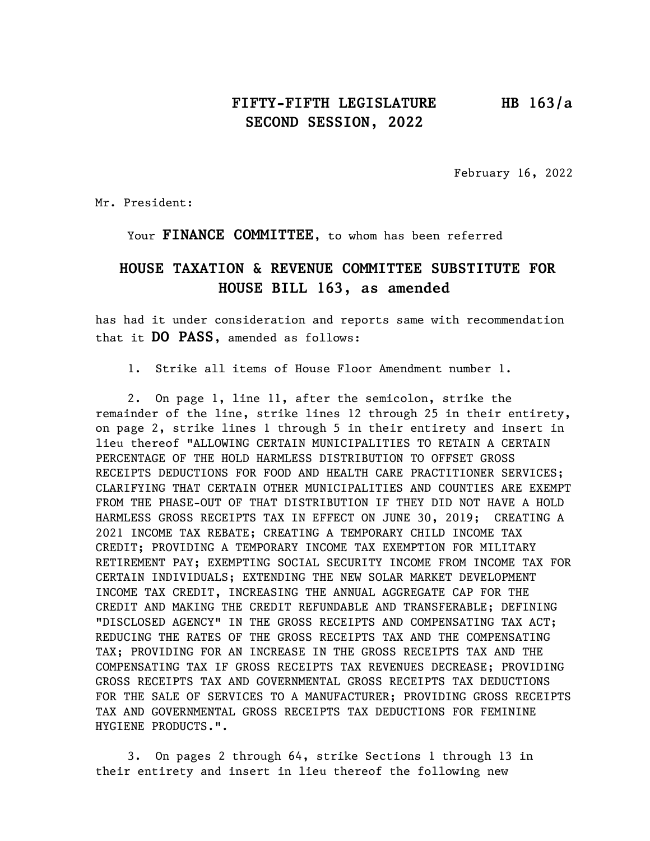# FIFTY-FIFTH LEGISLATURE HB 163/a SECOND SESSION, 2022

February 16, 2022

Mr. President:

Your FINANCE COMMITTEE, to whom has been referred

# HOUSE TAXATION & REVENUE COMMITTEE SUBSTITUTE FOR HOUSE BILL 163, as amended

has had it under consideration and reports same with recommendation that it DO PASS, amended as follows:

1. Strike all items of House Floor Amendment number 1.

2. On page 1, line 11, after the semicolon, strike the remainder of the line, strike lines 12 through 25 in their entirety, on page 2, strike lines 1 through 5 in their entirety and insert in lieu thereof "ALLOWING CERTAIN MUNICIPALITIES TO RETAIN A CERTAIN PERCENTAGE OF THE HOLD HARMLESS DISTRIBUTION TO OFFSET GROSS RECEIPTS DEDUCTIONS FOR FOOD AND HEALTH CARE PRACTITIONER SERVICES; CLARIFYING THAT CERTAIN OTHER MUNICIPALITIES AND COUNTIES ARE EXEMPT FROM THE PHASE-OUT OF THAT DISTRIBUTION IF THEY DID NOT HAVE A HOLD HARMLESS GROSS RECEIPTS TAX IN EFFECT ON JUNE 30, 2019; CREATING A 2021 INCOME TAX REBATE; CREATING A TEMPORARY CHILD INCOME TAX CREDIT; PROVIDING A TEMPORARY INCOME TAX EXEMPTION FOR MILITARY RETIREMENT PAY; EXEMPTING SOCIAL SECURITY INCOME FROM INCOME TAX FOR CERTAIN INDIVIDUALS; EXTENDING THE NEW SOLAR MARKET DEVELOPMENT INCOME TAX CREDIT, INCREASING THE ANNUAL AGGREGATE CAP FOR THE CREDIT AND MAKING THE CREDIT REFUNDABLE AND TRANSFERABLE; DEFINING "DISCLOSED AGENCY" IN THE GROSS RECEIPTS AND COMPENSATING TAX ACT; REDUCING THE RATES OF THE GROSS RECEIPTS TAX AND THE COMPENSATING TAX; PROVIDING FOR AN INCREASE IN THE GROSS RECEIPTS TAX AND THE COMPENSATING TAX IF GROSS RECEIPTS TAX REVENUES DECREASE; PROVIDING GROSS RECEIPTS TAX AND GOVERNMENTAL GROSS RECEIPTS TAX DEDUCTIONS FOR THE SALE OF SERVICES TO A MANUFACTURER; PROVIDING GROSS RECEIPTS TAX AND GOVERNMENTAL GROSS RECEIPTS TAX DEDUCTIONS FOR FEMININE HYGIENE PRODUCTS.".

3. On pages 2 through 64, strike Sections 1 through 13 in their entirety and insert in lieu thereof the following new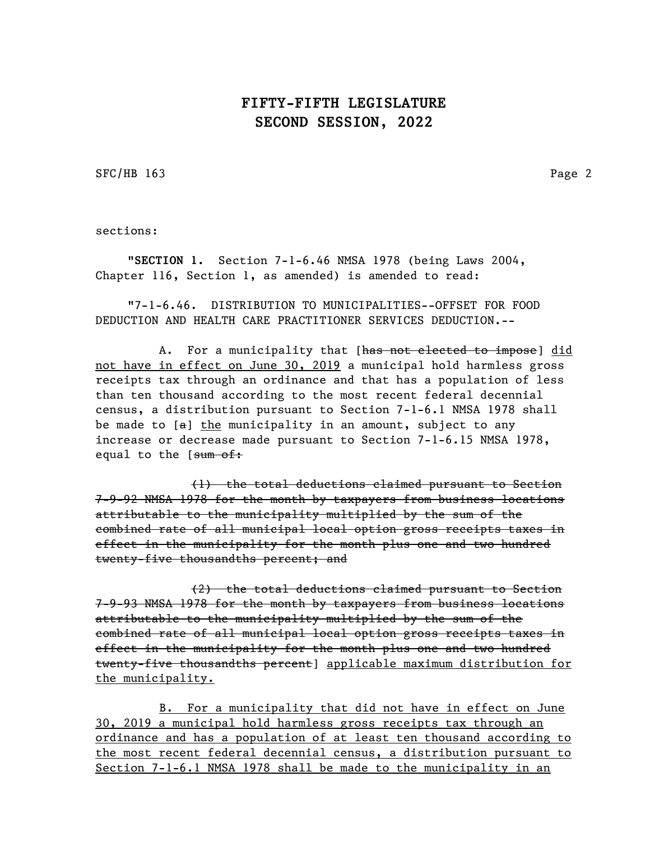SFC/HB 163 Page 2

sections:

"SECTION 1. Section 7-1-6.46 NMSA 1978 (being Laws 2004, Chapter 116, Section 1, as amended) is amended to read:

"7-1-6.46. DISTRIBUTION TO MUNICIPALITIES--OFFSET FOR FOOD DEDUCTION AND HEALTH CARE PRACTITIONER SERVICES DEDUCTION.--

A. For a municipality that [has not elected to impose] did not have in effect on June 30, 2019 a municipal hold harmless gross receipts tax through an ordinance and that has a population of less than ten thousand according to the most recent federal decennial census, a distribution pursuant to Section 7-1-6.1 NMSA 1978 shall be made to  $[a]$  the municipality in an amount, subject to any increase or decrease made pursuant to Section 7-1-6.15 NMSA 1978, equal to the [sum of:

(1) the total deductions claimed pursuant to Section 7-9-92 NMSA 1978 for the month by taxpayers from business locations attributable to the municipality multiplied by the sum of the combined rate of all municipal local option gross receipts taxes in effect in the municipality for the month plus one and two hundred twenty-five thousandths percent; and

(2) the total deductions claimed pursuant to Section 7-9-93 NMSA 1978 for the month by taxpayers from business locations attributable to the municipality multiplied by the sum of the combined rate of all municipal local option gross receipts taxes in effect in the municipality for the month plus one and two hundred twenty-five thousandths percent] applicable maximum distribution for the municipality.

B. For a municipality that did not have in effect on June 30, 2019 a municipal hold harmless gross receipts tax through an ordinance and has a population of at least ten thousand according to the most recent federal decennial census, a distribution pursuant to Section 7-1-6.1 NMSA 1978 shall be made to the municipality in an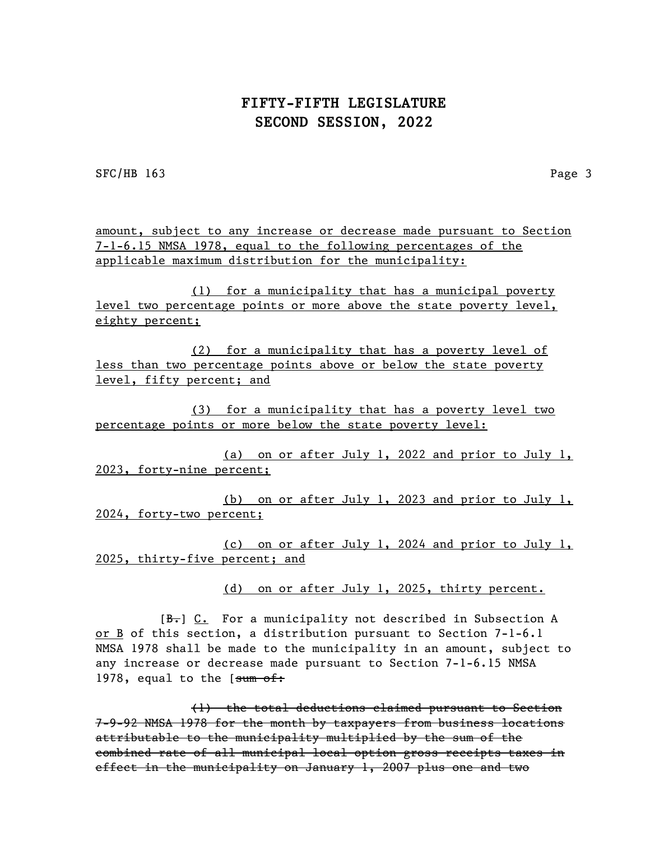SFC/HB 163 Page 3

amount, subject to any increase or decrease made pursuant to Section 7-1-6.15 NMSA 1978, equal to the following percentages of the applicable maximum distribution for the municipality:

(1) for a municipality that has a municipal poverty level two percentage points or more above the state poverty level, eighty percent;

(2) for a municipality that has a poverty level of less than two percentage points above or below the state poverty level, fifty percent; and

(3) for a municipality that has a poverty level two percentage points or more below the state poverty level:

(a) on or after July 1, 2022 and prior to July 1, 2023, forty-nine percent;

(b) on or after July 1, 2023 and prior to July 1, 2024, forty-two percent;

(c) on or after July 1, 2024 and prior to July 1, 2025, thirty-five percent; and

(d) on or after July 1, 2025, thirty percent.

 $[B<sub>r</sub>]$  C. For a municipality not described in Subsection A or B of this section, a distribution pursuant to Section 7-1-6.1 NMSA 1978 shall be made to the municipality in an amount, subject to any increase or decrease made pursuant to Section 7-1-6.15 NMSA 1978, equal to the [sum of:

(1) the total deductions claimed pursuant to Section 7-9-92 NMSA 1978 for the month by taxpayers from business locations attributable to the municipality multiplied by the sum of the combined rate of all municipal local option gross receipts taxes in effect in the municipality on January 1, 2007 plus one and two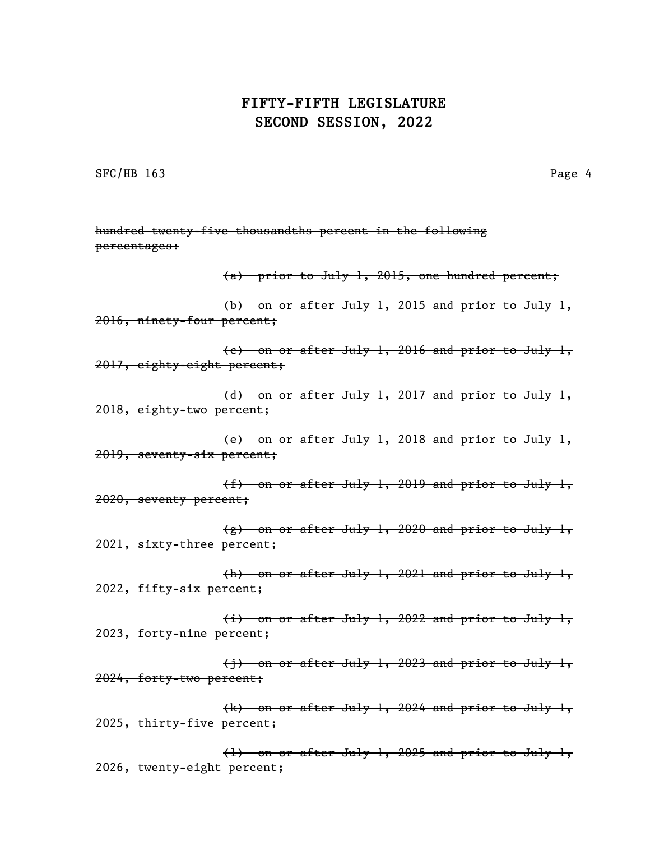SFC/HB 163 Page 4

hundred twenty-five thousandths percent in the following percentages: (a) prior to July 1, 2015, one hundred percent; (b) on or after July 1, 2015 and prior to July 1, 2016, ninety-four percent; (c) on or after July 1, 2016 and prior to July 1, 2017, eighty-eight percent; (d) on or after July 1, 2017 and prior to July 1, 2018, eighty-two percent; (e) on or after July 1, 2018 and prior to July 1, 2019, seventy-six percent; (f) on or after July 1, 2019 and prior to July 1, 2020, seventy percent; (g) on or after July 1, 2020 and prior to July 1, 2021, sixty-three percent; (h) on or after July 1, 2021 and prior to July 1, 2022, fifty-six percent; (i) on or after July 1, 2022 and prior to July 1, 2023, forty-nine percent; (j) on or after July 1, 2023 and prior to July 1, 2024, forty-two percent; (k) on or after July 1, 2024 and prior to July 1, 2025, thirty-five percent; (l) on or after July 1, 2025 and prior to July 1, 2026, twenty-eight percent;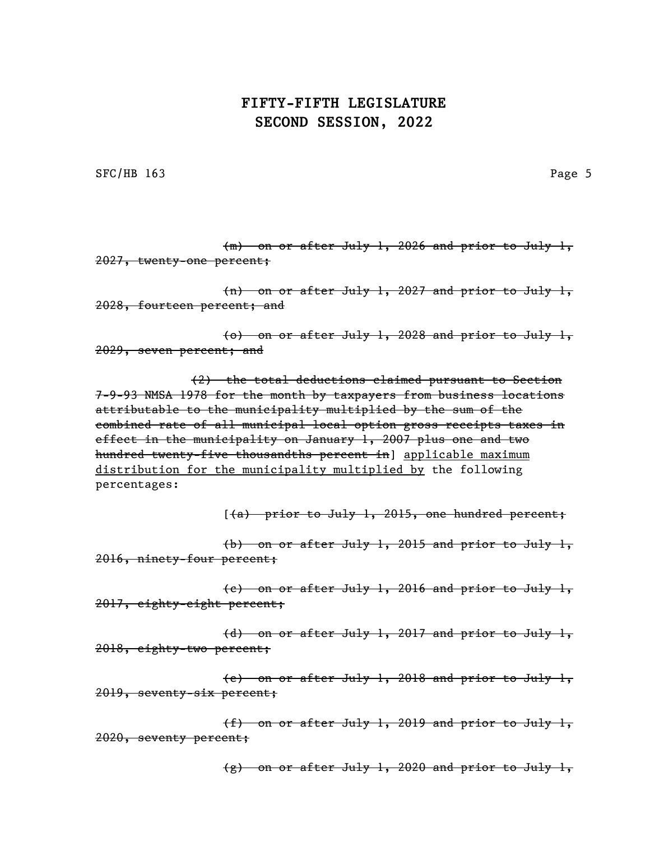SFC/HB 163 Page 5

(m) on or after July 1, 2026 and prior to July 1, 2027, twenty-one percent;

(n) on or after July 1, 2027 and prior to July 1, 2028, fourteen percent; and

(o) on or after July 1, 2028 and prior to July 1, 2029, seven percent; and

(2) the total deductions claimed pursuant to Section 7-9-93 NMSA 1978 for the month by taxpayers from business locations attributable to the municipality multiplied by the sum of the combined rate of all municipal local option gross receipts taxes in effect in the municipality on January 1, 2007 plus one and two hundred twenty-five thousandths percent in] applicable maximum distribution for the municipality multiplied by the following percentages:

 $(4)$  prior to July 1, 2015, one hundred percent;

(b) on or after July 1, 2015 and prior to July 1, 2016, ninety-four percent;

(c) on or after July 1, 2016 and prior to July 1, 2017, eighty-eight percent;

(d) on or after July 1, 2017 and prior to July 1, 2018, eighty-two percent;

(e) on or after July 1, 2018 and prior to July 1, 2019, seventy-six percent;

(f) on or after July 1, 2019 and prior to July 1, 2020, seventy percent;

(g) on or after July 1, 2020 and prior to July 1,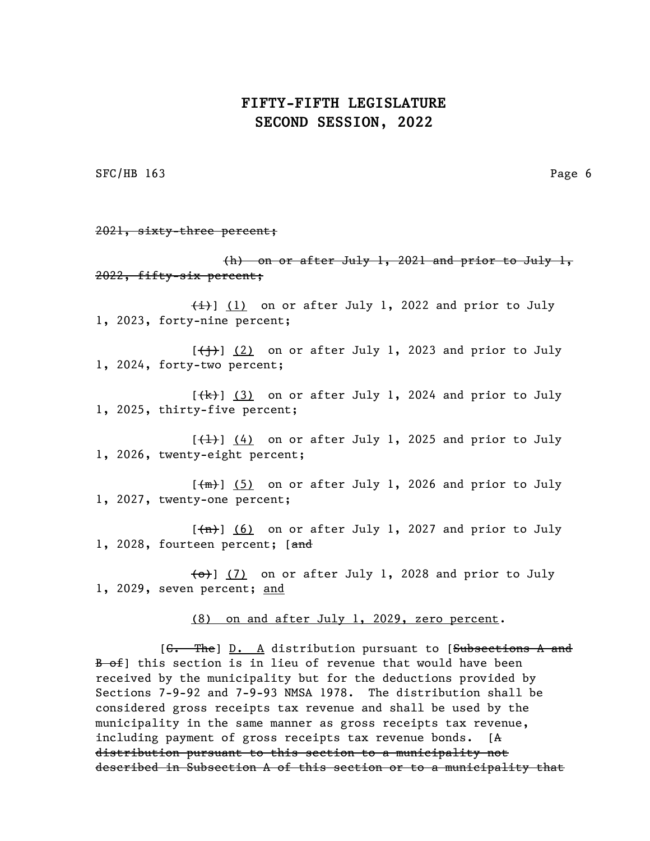SFC/HB 163 Page 6

2021, sixty-three percent;

(h) on or after July 1, 2021 and prior to July 1, 2022, fifty-six percent;

 $\{\pm\}$ ] (1) on or after July 1, 2022 and prior to July 1, 2023, forty-nine percent;

 $[\frac{+}{+}]$  (2) on or after July 1, 2023 and prior to July 1, 2024, forty-two percent;

 $[\frac{1}{k}]$  (3) on or after July 1, 2024 and prior to July 1, 2025, thirty-five percent;

 $[\frac{1}{1}]$  (4) on or after July 1, 2025 and prior to July 1, 2026, twenty-eight percent;

 $[\frac{m}{m}]$  (5) on or after July 1, 2026 and prior to July 1, 2027, twenty-one percent;

 $[\overline{(n)}]$  (6) on or after July 1, 2027 and prior to July 1, 2028, fourteen percent; [and

 $\left\{\Theta\right\}$  (7) on or after July 1, 2028 and prior to July 1, 2029, seven percent; and

(8) on and after July 1, 2029, zero percent.

[C. The] D. A distribution pursuant to [Subsections A and B of this section is in lieu of revenue that would have been received by the municipality but for the deductions provided by Sections 7-9-92 and 7-9-93 NMSA 1978. The distribution shall be considered gross receipts tax revenue and shall be used by the municipality in the same manner as gross receipts tax revenue, including payment of gross receipts tax revenue bonds. [A distribution pursuant to this section to a municipality not described in Subsection A of this section or to a municipality that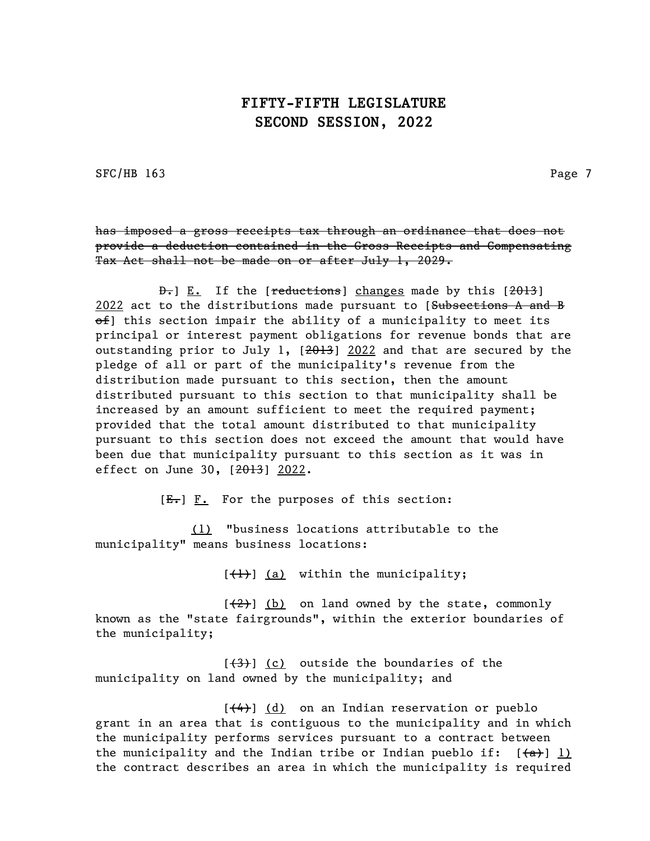SFC/HB 163 Page 7

has imposed a gross receipts tax through an ordinance that does not provide a deduction contained in the Gross Receipts and Compensating Tax Act shall not be made on or after July 1, 2029.

D. E. If the [reductions] changes made by this [2013] 2022 act to the distributions made pursuant to [Subsections A and B  $\theta$ ) this section impair the ability of a municipality to meet its principal or interest payment obligations for revenue bonds that are outstanding prior to July 1, [2013] 2022 and that are secured by the pledge of all or part of the municipality's revenue from the distribution made pursuant to this section, then the amount distributed pursuant to this section to that municipality shall be increased by an amount sufficient to meet the required payment; provided that the total amount distributed to that municipality pursuant to this section does not exceed the amount that would have been due that municipality pursuant to this section as it was in effect on June 30, [2013] 2022.

 $[E<sub>1</sub>]$   $\underline{F.}$  For the purposes of this section:

(1) "business locations attributable to the municipality" means business locations:

 $[\frac{1}{1}]$  (a) within the municipality;

 $[\frac{1}{2}]$  (b) on land owned by the state, commonly known as the "state fairgrounds", within the exterior boundaries of the municipality;

 $[\frac{(3)}{3}]$  (c) outside the boundaries of the municipality on land owned by the municipality; and

 $[\frac{4}{4}]$  (d) on an Indian reservation or pueblo grant in an area that is contiguous to the municipality and in which the municipality performs services pursuant to a contract between the municipality and the Indian tribe or Indian pueblo if:  $[(a)]$  1) the contract describes an area in which the municipality is required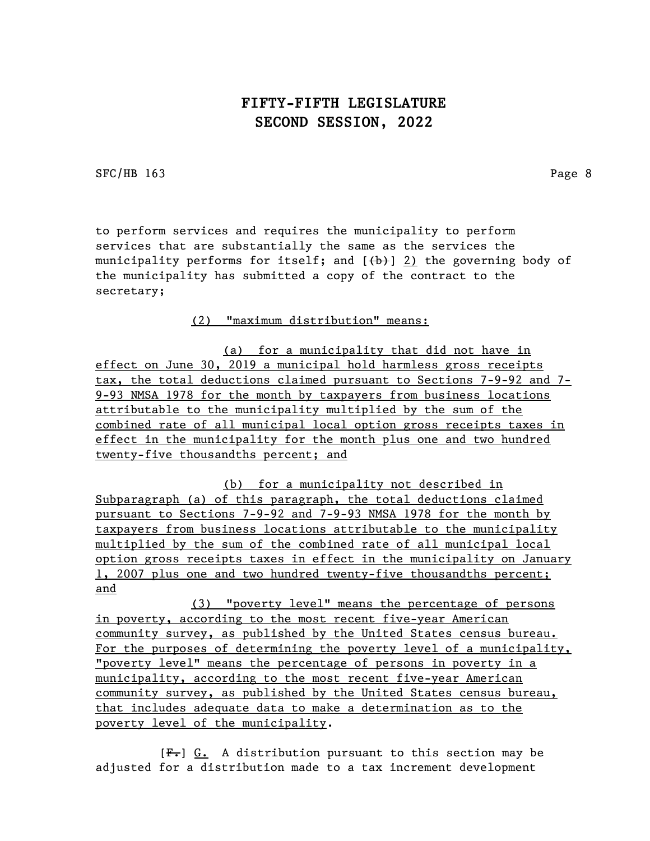SFC/HB 163 Page 8

to perform services and requires the municipality to perform services that are substantially the same as the services the municipality performs for itself; and  $(\theta)$  2) the governing body of the municipality has submitted a copy of the contract to the secretary;

(2) "maximum distribution" means:

(a) for a municipality that did not have in effect on June 30, 2019 a municipal hold harmless gross receipts tax, the total deductions claimed pursuant to Sections 7-9-92 and 7- 9-93 NMSA 1978 for the month by taxpayers from business locations attributable to the municipality multiplied by the sum of the combined rate of all municipal local option gross receipts taxes in effect in the municipality for the month plus one and two hundred twenty-five thousandths percent; and

(b) for a municipality not described in Subparagraph (a) of this paragraph, the total deductions claimed pursuant to Sections 7-9-92 and 7-9-93 NMSA 1978 for the month by taxpayers from business locations attributable to the municipality multiplied by the sum of the combined rate of all municipal local option gross receipts taxes in effect in the municipality on January 1, 2007 plus one and two hundred twenty-five thousandths percent; and

(3) "poverty level" means the percentage of persons in poverty, according to the most recent five-year American community survey, as published by the United States census bureau. For the purposes of determining the poverty level of a municipality, "poverty level" means the percentage of persons in poverty in a municipality, according to the most recent five-year American community survey, as published by the United States census bureau, that includes adequate data to make a determination as to the poverty level of the municipality.

[F.] G. A distribution pursuant to this section may be adjusted for a distribution made to a tax increment development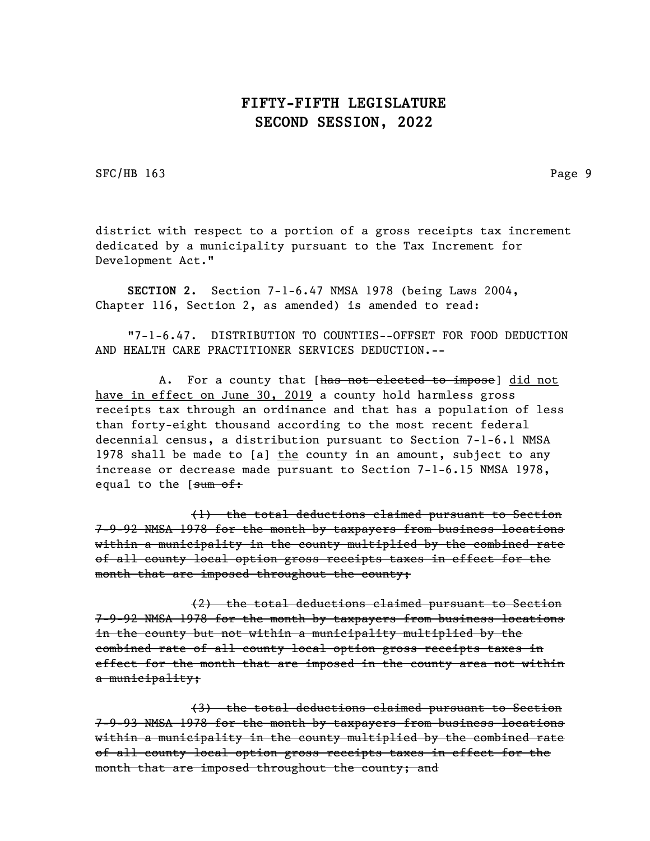SFC/HB 163 Page 9

district with respect to a portion of a gross receipts tax increment dedicated by a municipality pursuant to the Tax Increment for Development Act."

SECTION 2. Section 7-1-6.47 NMSA 1978 (being Laws 2004, Chapter 116, Section 2, as amended) is amended to read:

"7-1-6.47. DISTRIBUTION TO COUNTIES--OFFSET FOR FOOD DEDUCTION AND HEALTH CARE PRACTITIONER SERVICES DEDUCTION.--

A. For a county that [has not elected to impose] did not have in effect on June 30, 2019 a county hold harmless gross receipts tax through an ordinance and that has a population of less than forty-eight thousand according to the most recent federal decennial census, a distribution pursuant to Section 7-1-6.1 NMSA 1978 shall be made to  $[a]$  the county in an amount, subject to any increase or decrease made pursuant to Section 7-1-6.15 NMSA 1978, equal to the [sum of:

(1) the total deductions claimed pursuant to Section 7-9-92 NMSA 1978 for the month by taxpayers from business locations within a municipality in the county multiplied by the combined rate of all county local option gross receipts taxes in effect for the month that are imposed throughout the county;

(2) the total deductions claimed pursuant to Section 7-9-92 NMSA 1978 for the month by taxpayers from business locations in the county but not within a municipality multiplied by the combined rate of all county local option gross receipts taxes in effect for the month that are imposed in the county area not within a municipality;

(3) the total deductions claimed pursuant to Section 7-9-93 NMSA 1978 for the month by taxpayers from business locations within a municipality in the county multiplied by the combined rate of all county local option gross receipts taxes in effect for the month that are imposed throughout the county; and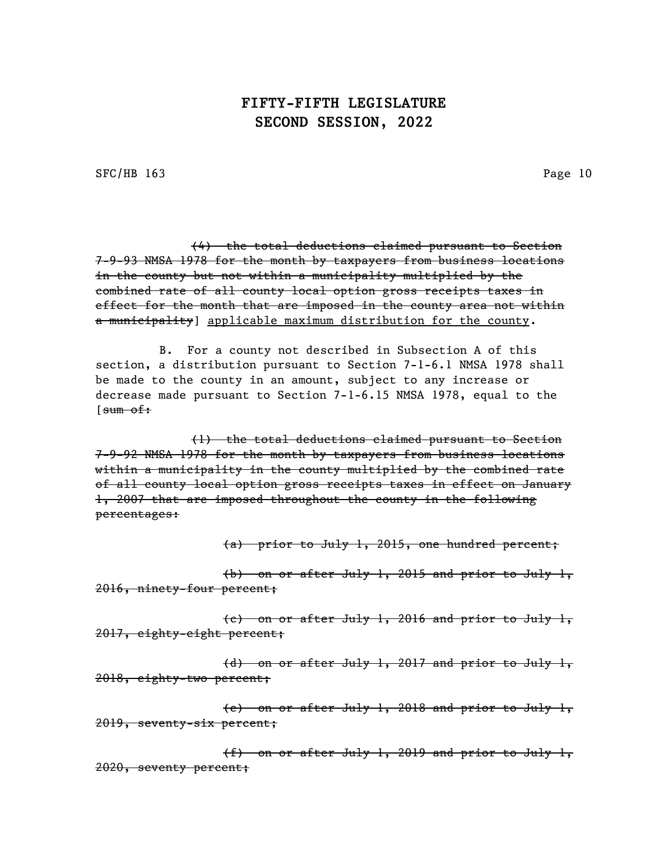SFC/HB 163 Page 10

(4) the total deductions claimed pursuant to Section 7-9-93 NMSA 1978 for the month by taxpayers from business locations in the county but not within a municipality multiplied by the combined rate of all county local option gross receipts taxes in effect for the month that are imposed in the county area not within a municipality] applicable maximum distribution for the county.

B. For a county not described in Subsection A of this section, a distribution pursuant to Section 7-1-6.1 NMSA 1978 shall be made to the county in an amount, subject to any increase or decrease made pursuant to Section 7-1-6.15 NMSA 1978, equal to the [sum of:

(1) the total deductions claimed pursuant to Section 7-9-92 NMSA 1978 for the month by taxpayers from business locations within a municipality in the county multiplied by the combined rate of all county local option gross receipts taxes in effect on January 1, 2007 that are imposed throughout the county in the following percentages:

(a) prior to July 1, 2015, one hundred percent;

(b) on or after July 1, 2015 and prior to July 1, 2016, ninety-four percent;

(c) on or after July 1, 2016 and prior to July 1, 2017, eighty-eight percent;

(d) on or after July 1, 2017 and prior to July 1, 2018, eighty-two percent;

(e) on or after July 1, 2018 and prior to July 1, 2019, seventy-six percent;

(f) on or after July 1, 2019 and prior to July 1, 2020, seventy percent;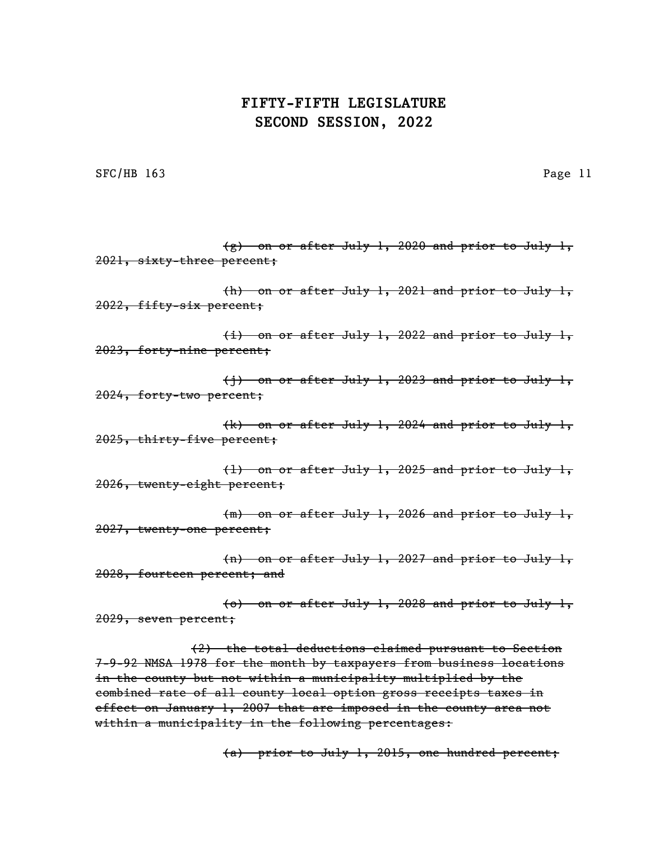SFC/HB 163 Page 11

 $(g)$  on or after July 1, 2020 and prior to July 1, 2021, sixty-three percent; (h) on or after July 1, 2021 and prior to July 1, 2022, fifty-six percent; (i) on or after July 1, 2022 and prior to July 1, 2023, forty-nine percent; (j) on or after July 1, 2023 and prior to July 1, 2024, forty-two percent; (k) on or after July 1, 2024 and prior to July 1, 2025, thirty-five percent; (l) on or after July 1, 2025 and prior to July 1, 2026, twenty-eight percent; (m) on or after July 1, 2026 and prior to July 1, 2027, twenty-one percent; (n) on or after July 1, 2027 and prior to July 1, 2028, fourteen percent; and (o) on or after July 1, 2028 and prior to July 1, 2029, seven percent; (2) the total deductions claimed pursuant to Section 7-9-92 NMSA 1978 for the month by taxpayers from business locations in the county but not within a municipality multiplied by the combined rate of all county local option gross receipts taxes in effect on January 1, 2007 that are imposed in the county area not

within a municipality in the following percentages:

(a) prior to July 1, 2015, one hundred percent;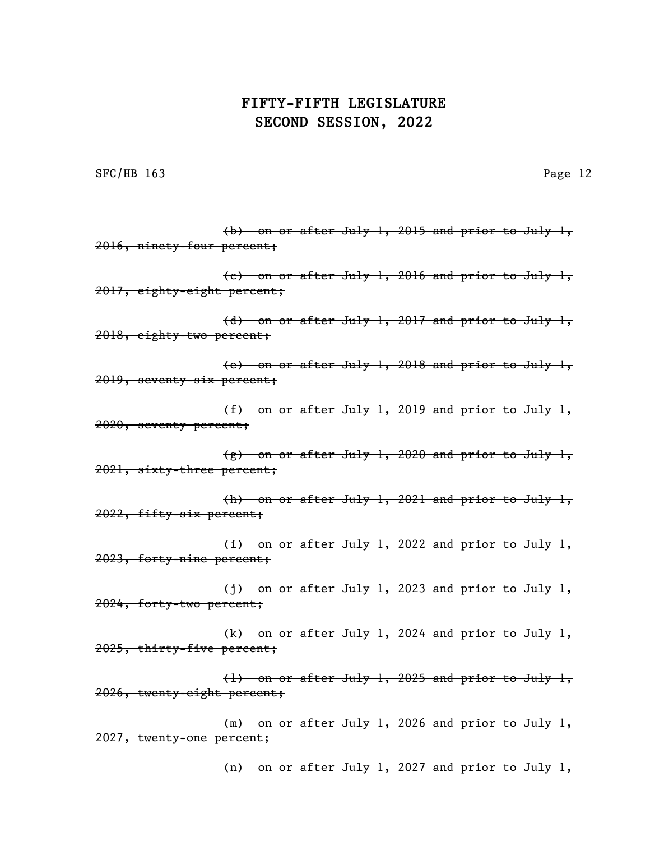SFC/HB 163 Page 12

(b) on or after July 1, 2015 and prior to July 1, 2016, ninety-four percent; (c) on or after July 1, 2016 and prior to July 1, 2017, eighty-eight percent; (d) on or after July 1, 2017 and prior to July 1, 2018, eighty-two percent; (e) on or after July 1, 2018 and prior to July 1, 2019, seventy-six percent; (f) on or after July 1, 2019 and prior to July 1, 2020, seventy percent; (g) on or after July 1, 2020 and prior to July 1, 2021, sixty-three percent; (h) on or after July 1, 2021 and prior to July 1, 2022, fifty-six percent; (i) on or after July 1, 2022 and prior to July 1, 2023, forty-nine percent; (j) on or after July 1, 2023 and prior to July 1, 2024, forty-two percent; (k) on or after July 1, 2024 and prior to July 1, 2025, thirty-five percent; (l) on or after July 1, 2025 and prior to July 1, 2026, twenty-eight percent; (m) on or after July 1, 2026 and prior to July 1, 2027, twenty-one percent;

(n) on or after July 1, 2027 and prior to July 1,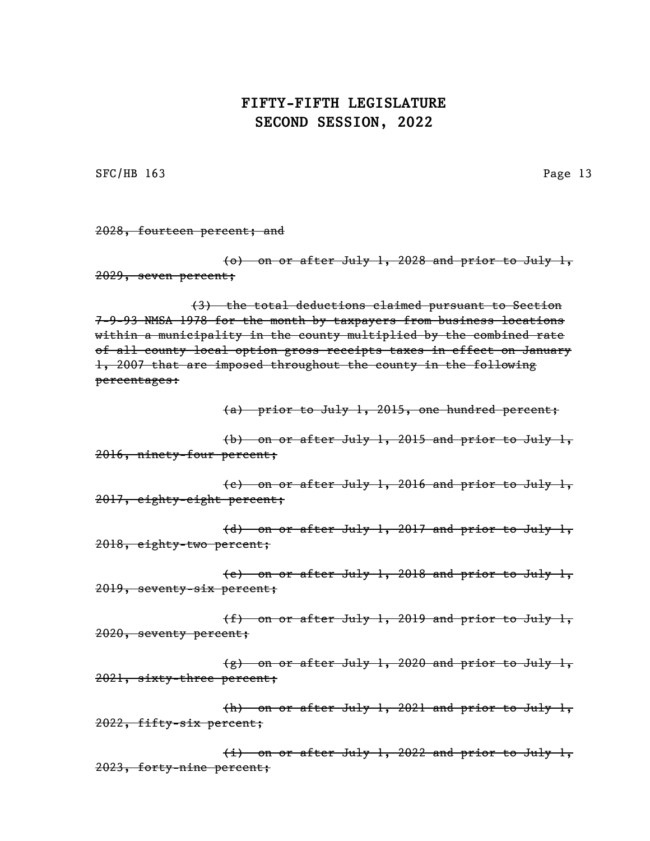SFC/HB 163 Page 13

2028, fourteen percent; and

(o) on or after July 1, 2028 and prior to July 1, 2029, seven percent;

(3) the total deductions claimed pursuant to Section 7-9-93 NMSA 1978 for the month by taxpayers from business locations within a municipality in the county multiplied by the combined rate of all county local option gross receipts taxes in effect on January 1, 2007 that are imposed throughout the county in the following percentages:

(a) prior to July 1, 2015, one hundred percent;

(b) on or after July 1, 2015 and prior to July 1, 2016, ninety-four percent;

(c) on or after July 1, 2016 and prior to July 1, 2017, eighty-eight percent;

(d) on or after July 1, 2017 and prior to July 1, 2018, eighty-two percent;

(e) on or after July 1, 2018 and prior to July 1, 2019, seventy-six percent;

(f) on or after July 1, 2019 and prior to July 1, 2020, seventy percent;

(g) on or after July 1, 2020 and prior to July 1, 2021, sixty-three percent;

(h) on or after July 1, 2021 and prior to July 1, 2022, fifty-six percent;

(i) on or after July 1, 2022 and prior to July 1, 2023, forty-nine percent;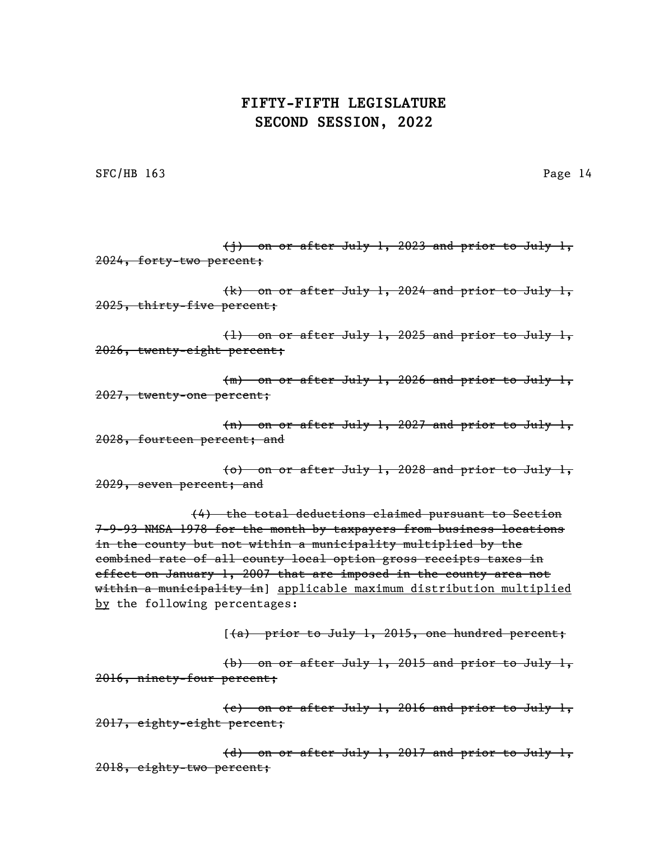SFC/HB 163 Page 14

 $(i)$  on or after July 1, 2023 and prior to July 1, 2024, forty-two percent; (k) on or after July 1, 2024 and prior to July 1, 2025, thirty-five percent; (l) on or after July 1, 2025 and prior to July 1,

2026, twenty-eight percent;

(m) on or after July 1, 2026 and prior to July 1, 2027, twenty-one percent;

(n) on or after July 1, 2027 and prior to July 1, 2028, fourteen percent; and

(o) on or after July 1, 2028 and prior to July 1, 2029, seven percent; and

(4) the total deductions claimed pursuant to Section 7-9-93 NMSA 1978 for the month by taxpayers from business locations in the county but not within a municipality multiplied by the combined rate of all county local option gross receipts taxes in effect on January 1, 2007 that are imposed in the county area not within a municipality in] applicable maximum distribution multiplied by the following percentages:

 $(4)$  prior to July 1, 2015, one hundred percent;

(b) on or after July 1, 2015 and prior to July 1, 2016, ninety-four percent;

(c) on or after July 1, 2016 and prior to July 1, 2017, eighty-eight percent;

(d) on or after July 1, 2017 and prior to July 1, 2018, eighty-two percent;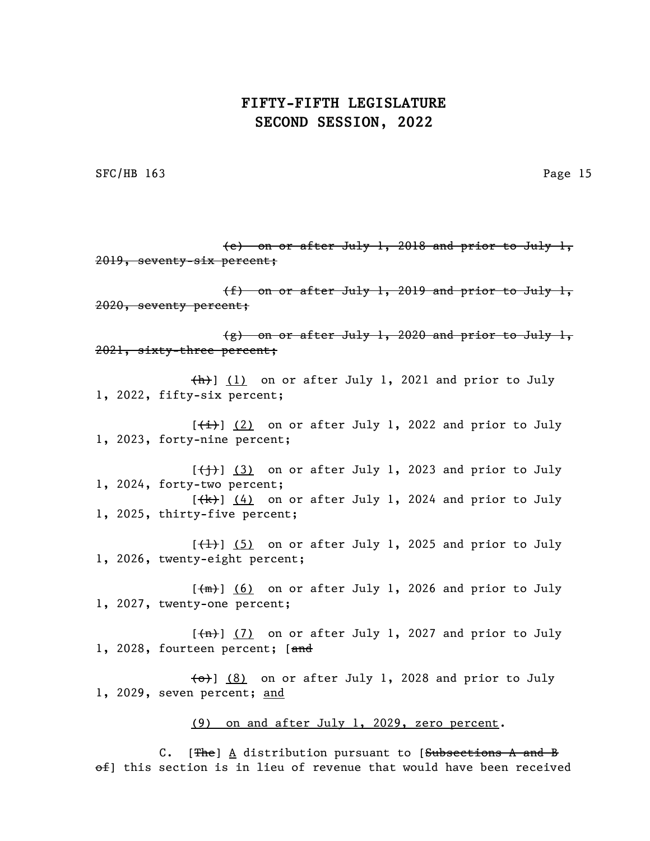SFC/HB 163 Page 15

(e) on or after July 1, 2018 and prior to July 1, 2019, seventy-six percent; (f) on or after July 1, 2019 and prior to July 1, 2020, seventy percent; (g) on or after July 1, 2020 and prior to July 1, 2021, sixty-three percent;  $\{\hbox{h}\}\$  (1) on or after July 1, 2021 and prior to July 1, 2022, fifty-six percent;  $[\frac{1}{1}]$  (2) on or after July 1, 2022 and prior to July 1, 2023, forty-nine percent;  $[\frac{+}{+}]$  (3) on or after July 1, 2023 and prior to July 1, 2024, forty-two percent;  $[\frac{1}{k}]$  (4) on or after July 1, 2024 and prior to July 1, 2025, thirty-five percent;  $[\frac{1}{1}]$  (5) on or after July 1, 2025 and prior to July 1, 2026, twenty-eight percent;  $[\frac{m}{m}]$  (6) on or after July 1, 2026 and prior to July 1, 2027, twenty-one percent;  $[\frac{\pi}{1}]$  (7) on or after July 1, 2027 and prior to July 1, 2028, fourteen percent; [and  $\left\{\Theta\right\}$  (8) on or after July 1, 2028 and prior to July 1, 2029, seven percent; and (9) on and after July 1, 2029, zero percent. C. [The]  $\underline{A}$  distribution pursuant to [Subsections A and B

 $\theta$ ) this section is in lieu of revenue that would have been received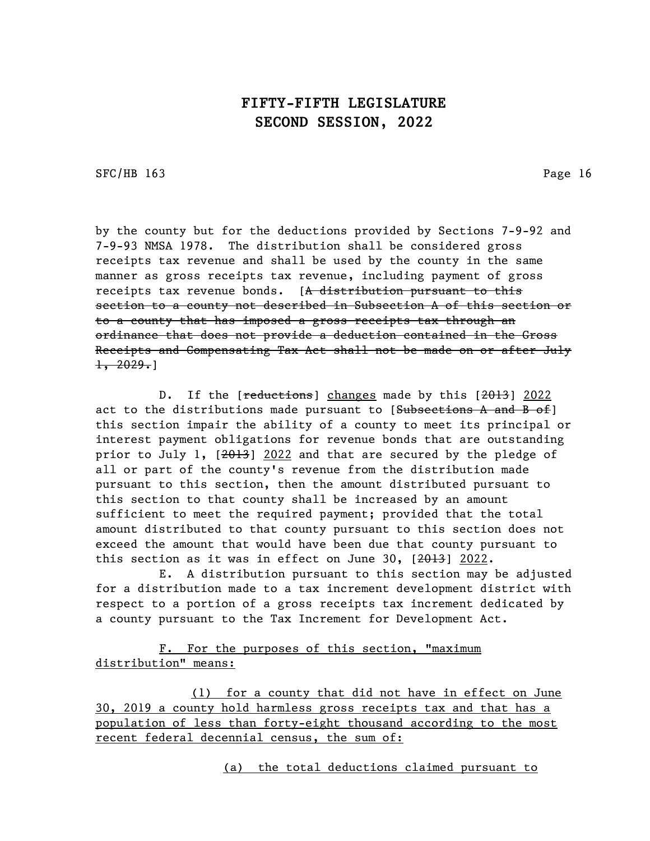SFC/HB 163 Page 16

by the county but for the deductions provided by Sections 7-9-92 and 7-9-93 NMSA 1978. The distribution shall be considered gross receipts tax revenue and shall be used by the county in the same manner as gross receipts tax revenue, including payment of gross receipts tax revenue bonds. [A distribution pursuant to this section to a county not described in Subsection A of this section or to a county that has imposed a gross receipts tax through an ordinance that does not provide a deduction contained in the Gross Receipts and Compensating Tax Act shall not be made on or after July  $\pm$ , 2029.]

D. If the [reductions] changes made by this [2013] 2022 act to the distributions made pursuant to  $[Subsections A and B of]$ this section impair the ability of a county to meet its principal or interest payment obligations for revenue bonds that are outstanding prior to July 1, [2013] 2022 and that are secured by the pledge of all or part of the county's revenue from the distribution made pursuant to this section, then the amount distributed pursuant to this section to that county shall be increased by an amount sufficient to meet the required payment; provided that the total amount distributed to that county pursuant to this section does not exceed the amount that would have been due that county pursuant to this section as it was in effect on June 30,  $[2013]$  2022.

E. A distribution pursuant to this section may be adjusted for a distribution made to a tax increment development district with respect to a portion of a gross receipts tax increment dedicated by a county pursuant to the Tax Increment for Development Act.

F. For the purposes of this section, "maximum distribution" means:

(1) for a county that did not have in effect on June 30, 2019 a county hold harmless gross receipts tax and that has a population of less than forty-eight thousand according to the most recent federal decennial census, the sum of:

(a) the total deductions claimed pursuant to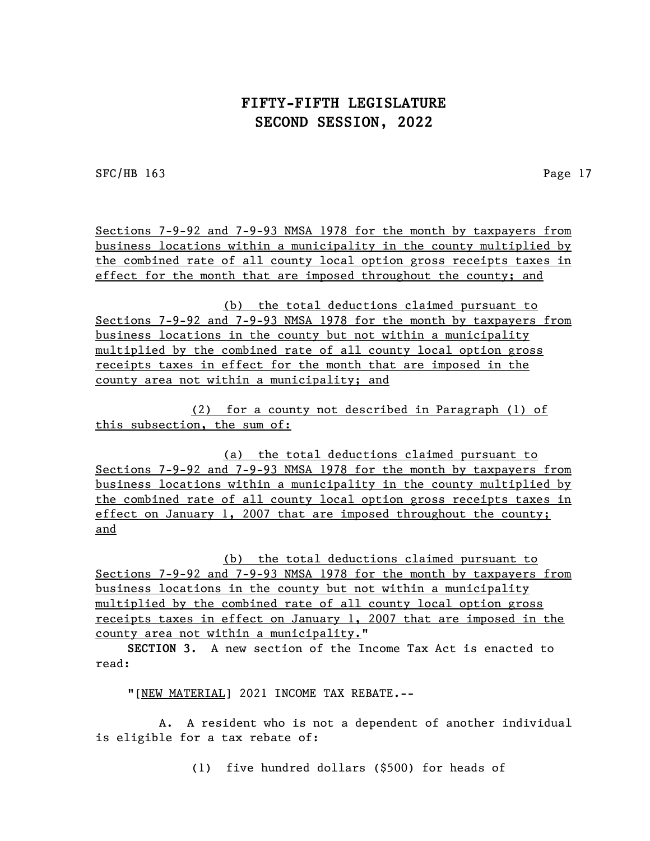SFC/HB 163 Page 17

Sections 7-9-92 and 7-9-93 NMSA 1978 for the month by taxpayers from business locations within a municipality in the county multiplied by the combined rate of all county local option gross receipts taxes in effect for the month that are imposed throughout the county; and

(b) the total deductions claimed pursuant to Sections 7-9-92 and 7-9-93 NMSA 1978 for the month by taxpayers from business locations in the county but not within a municipality multiplied by the combined rate of all county local option gross receipts taxes in effect for the month that are imposed in the county area not within a municipality; and

(2) for a county not described in Paragraph (1) of this subsection, the sum of:

(a) the total deductions claimed pursuant to Sections 7-9-92 and 7-9-93 NMSA 1978 for the month by taxpayers from business locations within a municipality in the county multiplied by the combined rate of all county local option gross receipts taxes in effect on January 1, 2007 that are imposed throughout the county; and

(b) the total deductions claimed pursuant to Sections 7-9-92 and 7-9-93 NMSA 1978 for the month by taxpayers from business locations in the county but not within a municipality multiplied by the combined rate of all county local option gross receipts taxes in effect on January 1, 2007 that are imposed in the county area not within a municipality."

SECTION 3. A new section of the Income Tax Act is enacted to read:

"[NEW MATERIAL] 2021 INCOME TAX REBATE.--

A. A resident who is not a dependent of another individual is eligible for a tax rebate of:

(1) five hundred dollars (\$500) for heads of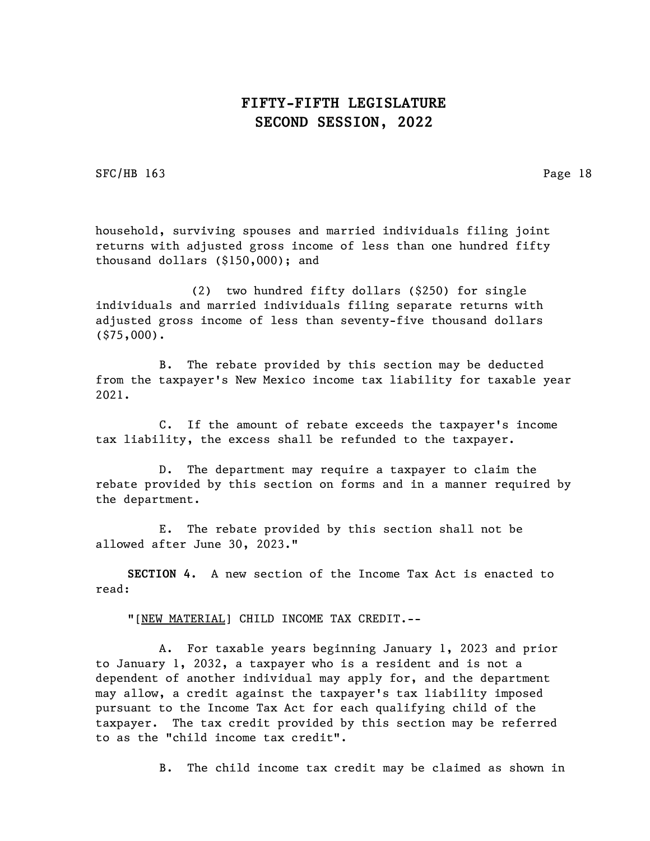SFC/HB 163 Page 18

household, surviving spouses and married individuals filing joint returns with adjusted gross income of less than one hundred fifty thousand dollars (\$150,000); and

(2) two hundred fifty dollars (\$250) for single individuals and married individuals filing separate returns with adjusted gross income of less than seventy-five thousand dollars (\$75,000).

B. The rebate provided by this section may be deducted from the taxpayer's New Mexico income tax liability for taxable year 2021.

C. If the amount of rebate exceeds the taxpayer's income tax liability, the excess shall be refunded to the taxpayer.

D. The department may require a taxpayer to claim the rebate provided by this section on forms and in a manner required by the department.

E. The rebate provided by this section shall not be allowed after June 30, 2023."

SECTION 4. A new section of the Income Tax Act is enacted to read:

"[NEW MATERIAL] CHILD INCOME TAX CREDIT.--

A. For taxable years beginning January 1, 2023 and prior to January 1, 2032, a taxpayer who is a resident and is not a dependent of another individual may apply for, and the department may allow, a credit against the taxpayer's tax liability imposed pursuant to the Income Tax Act for each qualifying child of the taxpayer. The tax credit provided by this section may be referred to as the "child income tax credit".

B. The child income tax credit may be claimed as shown in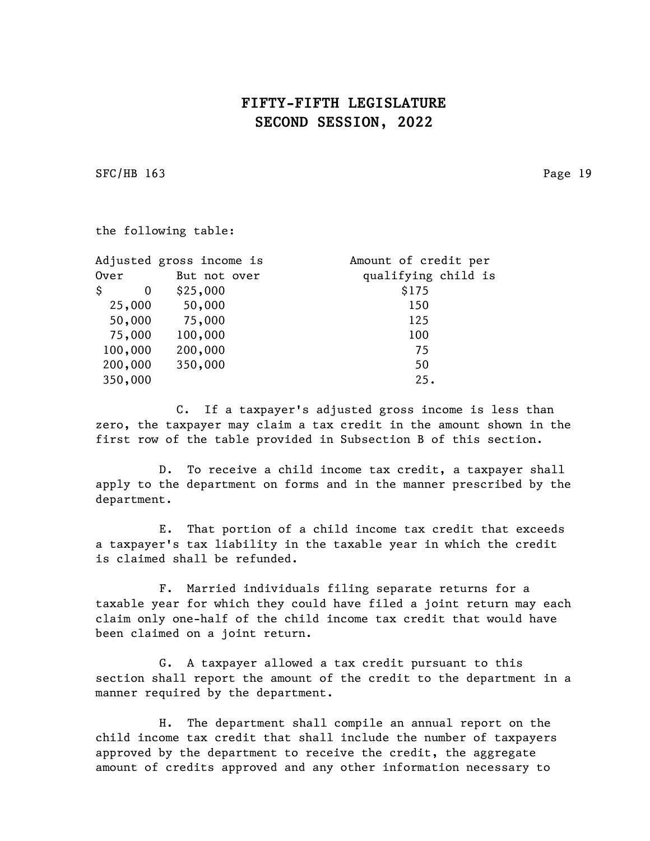SFC/HB 163 Page 19

the following table:

| Adjusted gross income is | Amount of credit per |
|--------------------------|----------------------|
| But not over             | qualifying child is  |
| \$25,000                 | \$175                |
| 50,000                   | 150                  |
| 75,000                   | 125                  |
| 100,000                  | 100                  |
| 200,000                  | 75                   |
| 350,000                  | 50                   |
|                          | 25.                  |
|                          |                      |

C. If a taxpayer's adjusted gross income is less than zero, the taxpayer may claim a tax credit in the amount shown in the first row of the table provided in Subsection B of this section.

D. To receive a child income tax credit, a taxpayer shall apply to the department on forms and in the manner prescribed by the department.

E. That portion of a child income tax credit that exceeds a taxpayer's tax liability in the taxable year in which the credit is claimed shall be refunded.

F. Married individuals filing separate returns for a taxable year for which they could have filed a joint return may each claim only one-half of the child income tax credit that would have been claimed on a joint return.

G. A taxpayer allowed a tax credit pursuant to this section shall report the amount of the credit to the department in a manner required by the department.

H. The department shall compile an annual report on the child income tax credit that shall include the number of taxpayers approved by the department to receive the credit, the aggregate amount of credits approved and any other information necessary to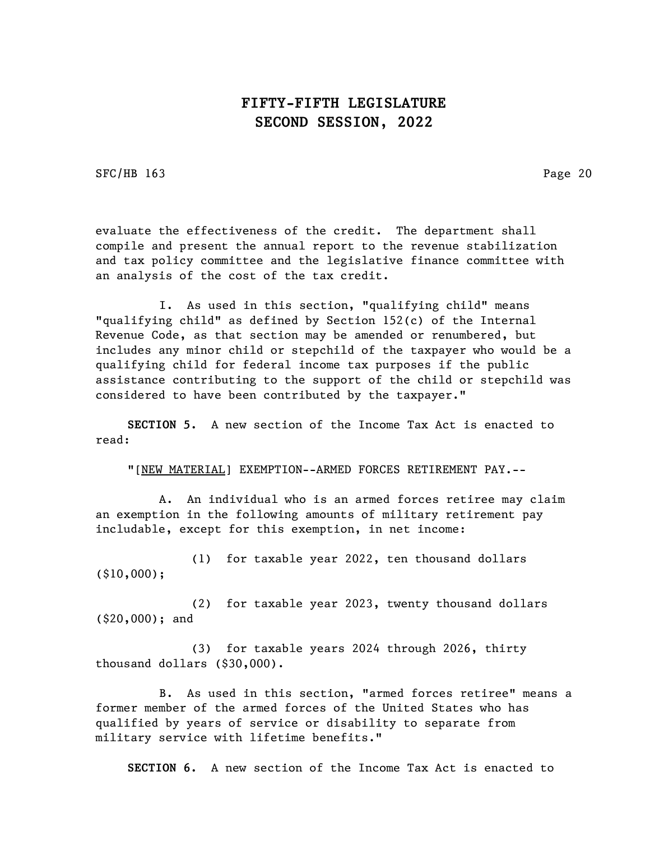SFC/HB 163 Page 20

evaluate the effectiveness of the credit. The department shall compile and present the annual report to the revenue stabilization and tax policy committee and the legislative finance committee with an analysis of the cost of the tax credit.

I. As used in this section, "qualifying child" means "qualifying child" as defined by Section 152(c) of the Internal Revenue Code, as that section may be amended or renumbered, but includes any minor child or stepchild of the taxpayer who would be a qualifying child for federal income tax purposes if the public assistance contributing to the support of the child or stepchild was considered to have been contributed by the taxpayer."

SECTION 5. A new section of the Income Tax Act is enacted to read:

"[NEW MATERIAL] EXEMPTION--ARMED FORCES RETIREMENT PAY.--

A. An individual who is an armed forces retiree may claim an exemption in the following amounts of military retirement pay includable, except for this exemption, in net income:

(1) for taxable year 2022, ten thousand dollars (\$10,000);

(2) for taxable year 2023, twenty thousand dollars (\$20,000); and

(3) for taxable years 2024 through 2026, thirty thousand dollars (\$30,000).

B. As used in this section, "armed forces retiree" means a former member of the armed forces of the United States who has qualified by years of service or disability to separate from military service with lifetime benefits."

SECTION 6. A new section of the Income Tax Act is enacted to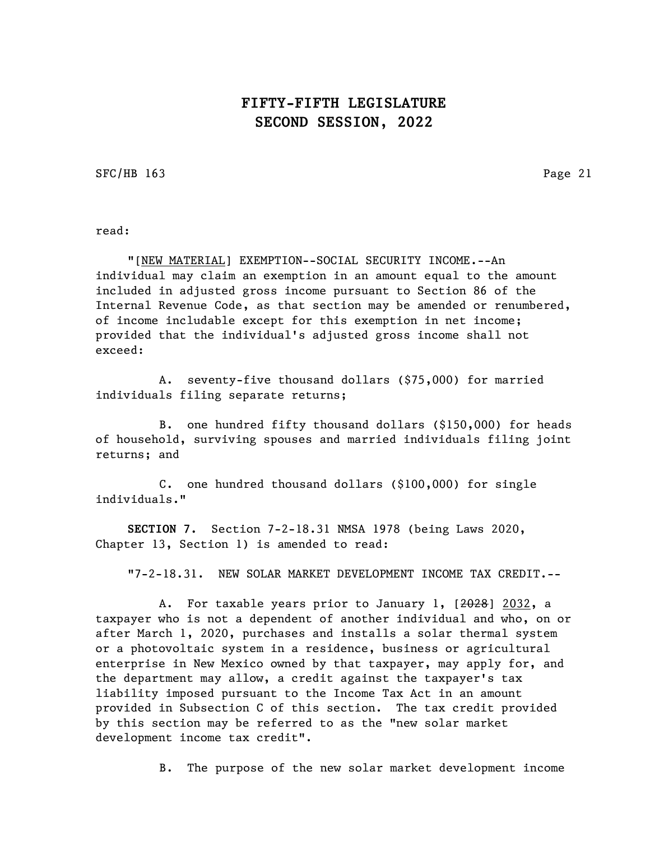SFC/HB 163 Page 21

read:

"[NEW MATERIAL] EXEMPTION--SOCIAL SECURITY INCOME.--An individual may claim an exemption in an amount equal to the amount included in adjusted gross income pursuant to Section 86 of the Internal Revenue Code, as that section may be amended or renumbered, of income includable except for this exemption in net income; provided that the individual's adjusted gross income shall not exceed:

A. seventy-five thousand dollars (\$75,000) for married individuals filing separate returns;

B. one hundred fifty thousand dollars (\$150,000) for heads of household, surviving spouses and married individuals filing joint returns; and

C. one hundred thousand dollars (\$100,000) for single individuals."

SECTION 7. Section 7-2-18.31 NMSA 1978 (being Laws 2020, Chapter 13, Section 1) is amended to read:

"7-2-18.31. NEW SOLAR MARKET DEVELOPMENT INCOME TAX CREDIT.--

A. For taxable years prior to January 1, [2028] 2032, a taxpayer who is not a dependent of another individual and who, on or after March 1, 2020, purchases and installs a solar thermal system or a photovoltaic system in a residence, business or agricultural enterprise in New Mexico owned by that taxpayer, may apply for, and the department may allow, a credit against the taxpayer's tax liability imposed pursuant to the Income Tax Act in an amount provided in Subsection C of this section. The tax credit provided by this section may be referred to as the "new solar market development income tax credit".

B. The purpose of the new solar market development income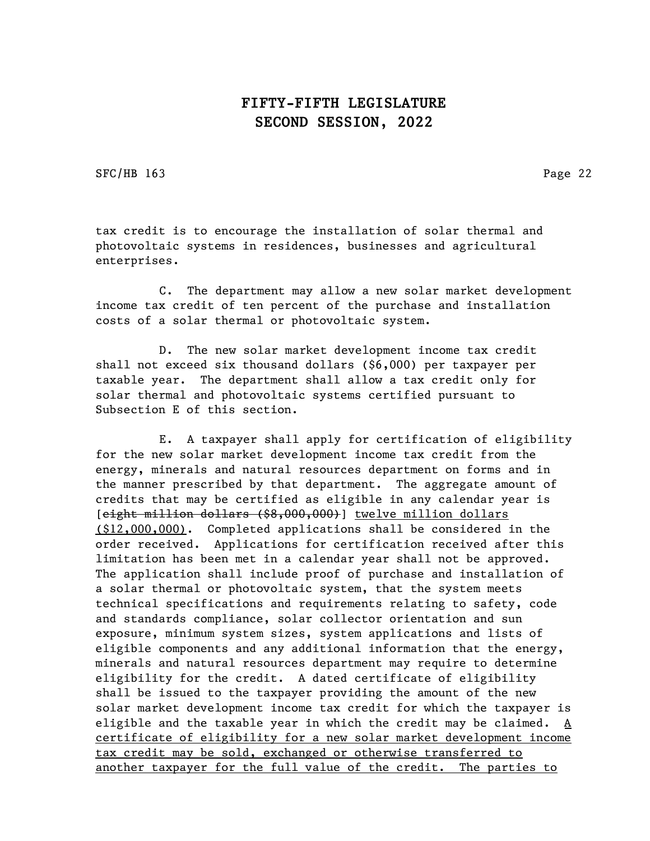SFC/HB 163 Page 22

tax credit is to encourage the installation of solar thermal and photovoltaic systems in residences, businesses and agricultural enterprises.

C. The department may allow a new solar market development income tax credit of ten percent of the purchase and installation costs of a solar thermal or photovoltaic system.

D. The new solar market development income tax credit shall not exceed six thousand dollars (\$6,000) per taxpayer per taxable year. The department shall allow a tax credit only for solar thermal and photovoltaic systems certified pursuant to Subsection E of this section.

E. A taxpayer shall apply for certification of eligibility for the new solar market development income tax credit from the energy, minerals and natural resources department on forms and in the manner prescribed by that department. The aggregate amount of credits that may be certified as eligible in any calendar year is [eight million dollars (\$8,000,000)] twelve million dollars (\$12,000,000). Completed applications shall be considered in the order received. Applications for certification received after this limitation has been met in a calendar year shall not be approved. The application shall include proof of purchase and installation of a solar thermal or photovoltaic system, that the system meets technical specifications and requirements relating to safety, code and standards compliance, solar collector orientation and sun exposure, minimum system sizes, system applications and lists of eligible components and any additional information that the energy, minerals and natural resources department may require to determine eligibility for the credit. A dated certificate of eligibility shall be issued to the taxpayer providing the amount of the new solar market development income tax credit for which the taxpayer is eligible and the taxable year in which the credit may be claimed. A certificate of eligibility for a new solar market development income tax credit may be sold, exchanged or otherwise transferred to another taxpayer for the full value of the credit. The parties to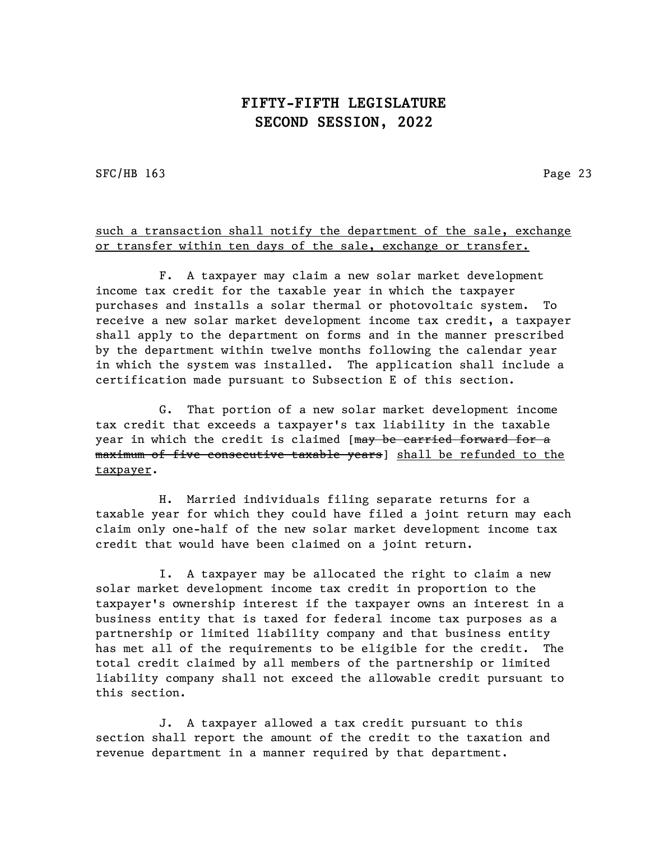SFC/HB 163 Page 23

#### such a transaction shall notify the department of the sale, exchange or transfer within ten days of the sale, exchange or transfer.

F. A taxpayer may claim a new solar market development income tax credit for the taxable year in which the taxpayer purchases and installs a solar thermal or photovoltaic system. To receive a new solar market development income tax credit, a taxpayer shall apply to the department on forms and in the manner prescribed by the department within twelve months following the calendar year in which the system was installed. The application shall include a certification made pursuant to Subsection E of this section.

G. That portion of a new solar market development income tax credit that exceeds a taxpayer's tax liability in the taxable year in which the credit is claimed [may be carried forward for a maximum of five consecutive taxable years] shall be refunded to the taxpayer.

H. Married individuals filing separate returns for a taxable year for which they could have filed a joint return may each claim only one-half of the new solar market development income tax credit that would have been claimed on a joint return.

I. A taxpayer may be allocated the right to claim a new solar market development income tax credit in proportion to the taxpayer's ownership interest if the taxpayer owns an interest in a business entity that is taxed for federal income tax purposes as a partnership or limited liability company and that business entity has met all of the requirements to be eligible for the credit. The total credit claimed by all members of the partnership or limited liability company shall not exceed the allowable credit pursuant to this section.

J. A taxpayer allowed a tax credit pursuant to this section shall report the amount of the credit to the taxation and revenue department in a manner required by that department.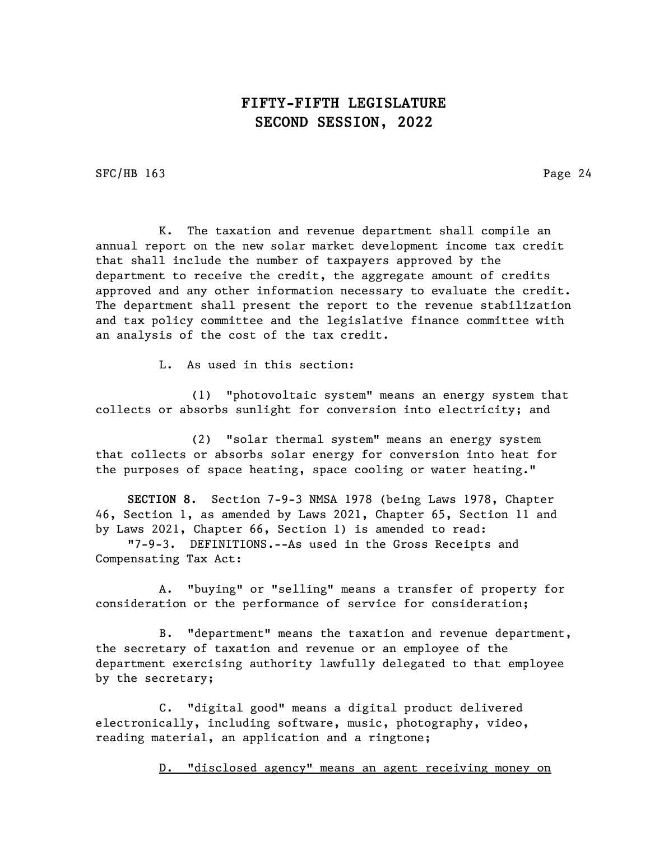SFC/HB 163 Page 24

K. The taxation and revenue department shall compile an annual report on the new solar market development income tax credit that shall include the number of taxpayers approved by the department to receive the credit, the aggregate amount of credits approved and any other information necessary to evaluate the credit. The department shall present the report to the revenue stabilization and tax policy committee and the legislative finance committee with an analysis of the cost of the tax credit.

L. As used in this section:

(1) "photovoltaic system" means an energy system that collects or absorbs sunlight for conversion into electricity; and

(2) "solar thermal system" means an energy system that collects or absorbs solar energy for conversion into heat for the purposes of space heating, space cooling or water heating."

SECTION 8. Section 7-9-3 NMSA 1978 (being Laws 1978, Chapter 46, Section 1, as amended by Laws 2021, Chapter 65, Section 11 and by Laws 2021, Chapter 66, Section 1) is amended to read:

"7-9-3. DEFINITIONS.--As used in the Gross Receipts and Compensating Tax Act:

A. "buying" or "selling" means a transfer of property for consideration or the performance of service for consideration;

B. "department" means the taxation and revenue department, the secretary of taxation and revenue or an employee of the department exercising authority lawfully delegated to that employee by the secretary;

C. "digital good" means a digital product delivered electronically, including software, music, photography, video, reading material, an application and a ringtone;

D. "disclosed agency" means an agent receiving money on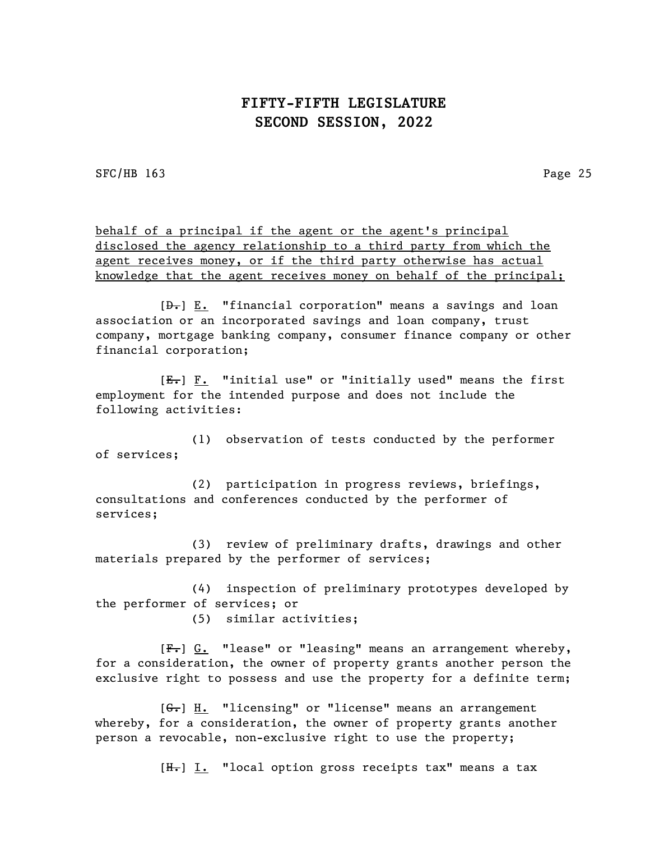SFC/HB 163 Page 25

behalf of a principal if the agent or the agent's principal disclosed the agency relationship to a third party from which the agent receives money, or if the third party otherwise has actual knowledge that the agent receives money on behalf of the principal;

 $[\frac{\theta}{\theta}]$  E. "financial corporation" means a savings and loan association or an incorporated savings and loan company, trust company, mortgage banking company, consumer finance company or other financial corporation;

[E.] F. "initial use" or "initially used" means the first employment for the intended purpose and does not include the following activities:

(1) observation of tests conducted by the performer of services;

(2) participation in progress reviews, briefings, consultations and conferences conducted by the performer of services;

(3) review of preliminary drafts, drawings and other materials prepared by the performer of services;

(4) inspection of preliminary prototypes developed by the performer of services; or

(5) similar activities;

[F.] G. "lease" or "leasing" means an arrangement whereby, for a consideration, the owner of property grants another person the exclusive right to possess and use the property for a definite term;

 $[G_{\bullet}]$  H. "licensing" or "license" means an arrangement whereby, for a consideration, the owner of property grants another person a revocable, non-exclusive right to use the property;

 $[H_r] I.$  "local option gross receipts tax" means a tax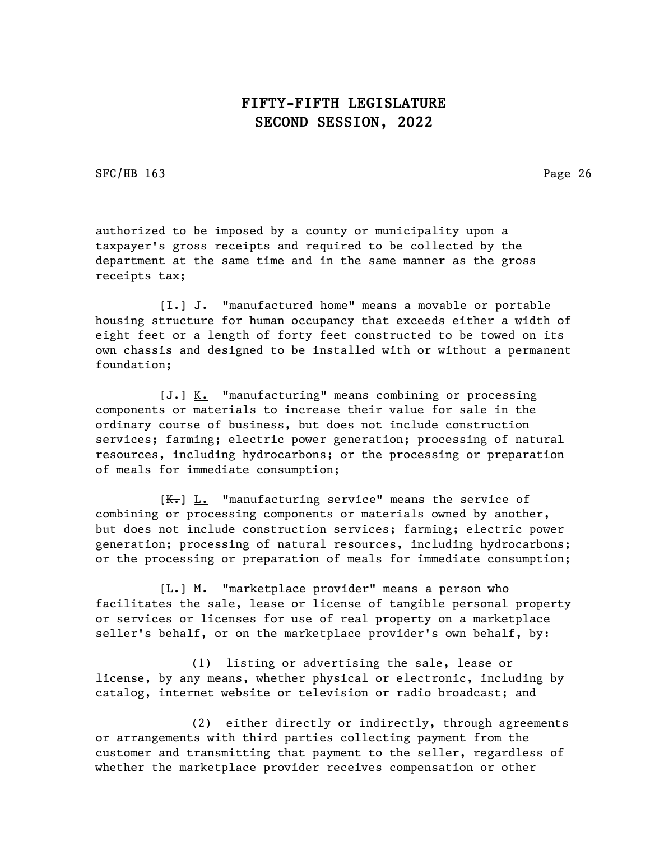SFC/HB 163 Page 26

authorized to be imposed by a county or municipality upon a taxpayer's gross receipts and required to be collected by the department at the same time and in the same manner as the gross receipts tax;

 $[\frac{1}{\sqrt{1}}]$  J. "manufactured home" means a movable or portable housing structure for human occupancy that exceeds either a width of eight feet or a length of forty feet constructed to be towed on its own chassis and designed to be installed with or without a permanent foundation;

 $[\frac{1}{\sqrt{1}}]$  K. "manufacturing" means combining or processing components or materials to increase their value for sale in the ordinary course of business, but does not include construction services; farming; electric power generation; processing of natural resources, including hydrocarbons; or the processing or preparation of meals for immediate consumption;

 $[K_r]$  L. "manufacturing service" means the service of combining or processing components or materials owned by another, but does not include construction services; farming; electric power generation; processing of natural resources, including hydrocarbons; or the processing or preparation of meals for immediate consumption;

[ $L$ .] M. "marketplace provider" means a person who facilitates the sale, lease or license of tangible personal property or services or licenses for use of real property on a marketplace seller's behalf, or on the marketplace provider's own behalf, by:

(1) listing or advertising the sale, lease or license, by any means, whether physical or electronic, including by catalog, internet website or television or radio broadcast; and

(2) either directly or indirectly, through agreements or arrangements with third parties collecting payment from the customer and transmitting that payment to the seller, regardless of whether the marketplace provider receives compensation or other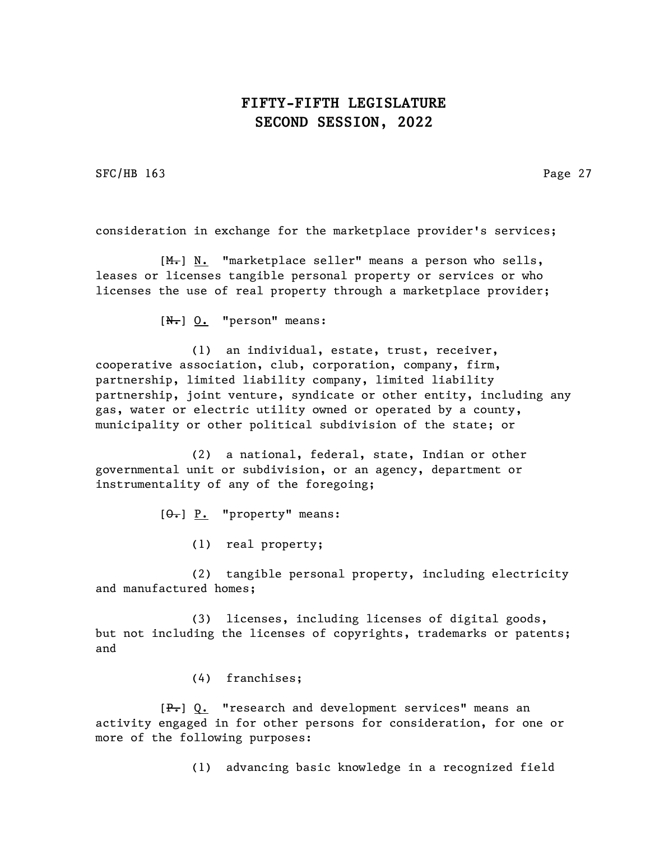SFC/HB 163 Page 27

consideration in exchange for the marketplace provider's services;

 $[M_r]$  N. "marketplace seller" means a person who sells, leases or licenses tangible personal property or services or who licenses the use of real property through a marketplace provider;

 $[N<sub>r</sub>]$  0. "person" means:

(1) an individual, estate, trust, receiver, cooperative association, club, corporation, company, firm, partnership, limited liability company, limited liability partnership, joint venture, syndicate or other entity, including any gas, water or electric utility owned or operated by a county, municipality or other political subdivision of the state; or

(2) a national, federal, state, Indian or other governmental unit or subdivision, or an agency, department or instrumentality of any of the foregoing;

 $[\Theta_{\bullet}]$  P. "property" means:

(1) real property;

(2) tangible personal property, including electricity and manufactured homes;

(3) licenses, including licenses of digital goods, but not including the licenses of copyrights, trademarks or patents; and

(4) franchises;

 $[F_{\tau}]$  Q. "research and development services" means an activity engaged in for other persons for consideration, for one or more of the following purposes:

(1) advancing basic knowledge in a recognized field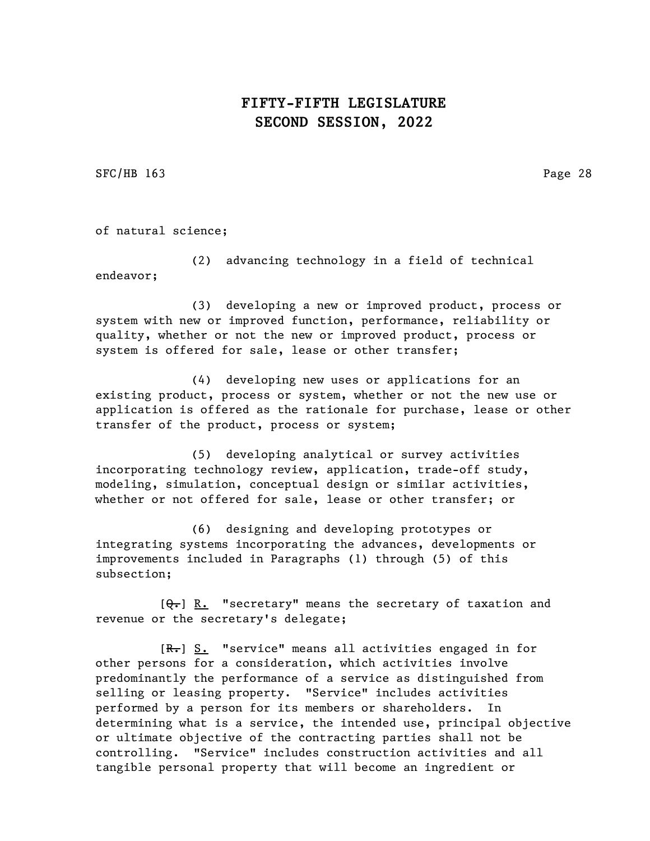SFC/HB 163 Page 28

of natural science;

(2) advancing technology in a field of technical endeavor;

(3) developing a new or improved product, process or system with new or improved function, performance, reliability or quality, whether or not the new or improved product, process or system is offered for sale, lease or other transfer;

(4) developing new uses or applications for an existing product, process or system, whether or not the new use or application is offered as the rationale for purchase, lease or other transfer of the product, process or system;

(5) developing analytical or survey activities incorporating technology review, application, trade-off study, modeling, simulation, conceptual design or similar activities, whether or not offered for sale, lease or other transfer; or

(6) designing and developing prototypes or integrating systems incorporating the advances, developments or improvements included in Paragraphs (1) through (5) of this subsection;

 $[Q_{\tau}]$  R. "secretary" means the secretary of taxation and revenue or the secretary's delegate;

[R.] S. "service" means all activities engaged in for other persons for a consideration, which activities involve predominantly the performance of a service as distinguished from selling or leasing property. "Service" includes activities performed by a person for its members or shareholders. In determining what is a service, the intended use, principal objective or ultimate objective of the contracting parties shall not be controlling. "Service" includes construction activities and all tangible personal property that will become an ingredient or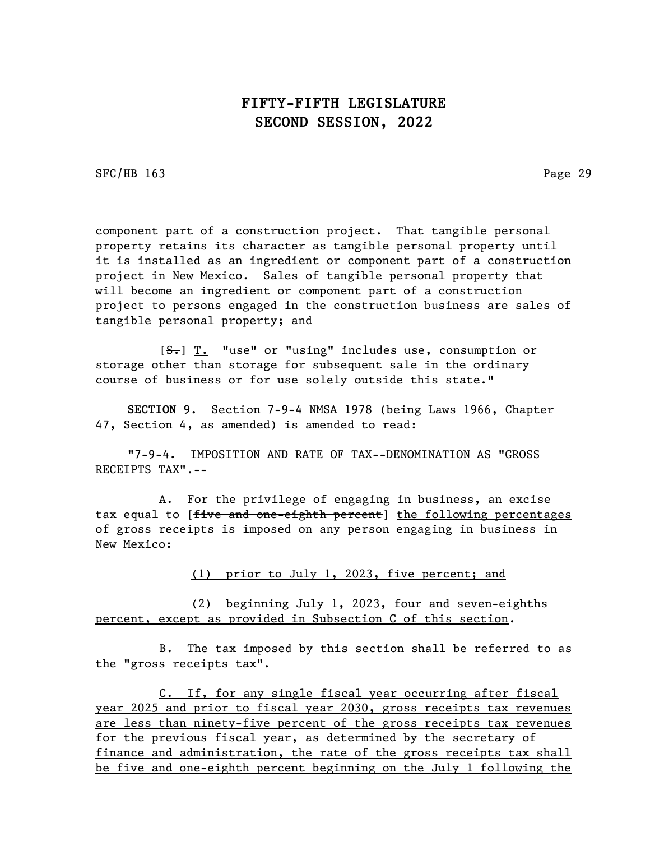SFC/HB 163 Page 29

component part of a construction project. That tangible personal property retains its character as tangible personal property until it is installed as an ingredient or component part of a construction project in New Mexico. Sales of tangible personal property that will become an ingredient or component part of a construction project to persons engaged in the construction business are sales of tangible personal property; and

[S.] T. "use" or "using" includes use, consumption or storage other than storage for subsequent sale in the ordinary course of business or for use solely outside this state."

SECTION 9. Section 7-9-4 NMSA 1978 (being Laws 1966, Chapter 47, Section 4, as amended) is amended to read:

"7-9-4. IMPOSITION AND RATE OF TAX--DENOMINATION AS "GROSS RECEIPTS TAX".--

A. For the privilege of engaging in business, an excise tax equal to [five and one-eighth percent] the following percentages of gross receipts is imposed on any person engaging in business in New Mexico:

(1) prior to July 1, 2023, five percent; and

(2) beginning July 1, 2023, four and seven-eighths percent, except as provided in Subsection C of this section.

B. The tax imposed by this section shall be referred to as the "gross receipts tax".

C. If, for any single fiscal year occurring after fiscal year 2025 and prior to fiscal year 2030, gross receipts tax revenues are less than ninety-five percent of the gross receipts tax revenues for the previous fiscal year, as determined by the secretary of finance and administration, the rate of the gross receipts tax shall be five and one-eighth percent beginning on the July 1 following the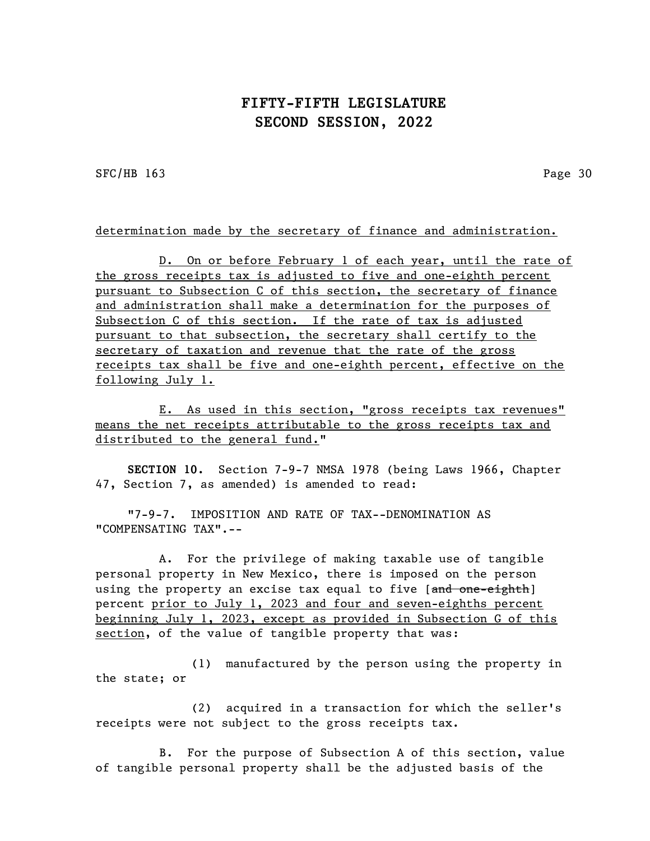SFC/HB 163 Page 30

determination made by the secretary of finance and administration.

D. On or before February 1 of each year, until the rate of the gross receipts tax is adjusted to five and one-eighth percent pursuant to Subsection C of this section, the secretary of finance and administration shall make a determination for the purposes of Subsection C of this section. If the rate of tax is adjusted pursuant to that subsection, the secretary shall certify to the secretary of taxation and revenue that the rate of the gross receipts tax shall be five and one-eighth percent, effective on the following July 1.

E. As used in this section, "gross receipts tax revenues" means the net receipts attributable to the gross receipts tax and distributed to the general fund."

SECTION 10. Section 7-9-7 NMSA 1978 (being Laws 1966, Chapter 47, Section 7, as amended) is amended to read:

"7-9-7. IMPOSITION AND RATE OF TAX--DENOMINATION AS "COMPENSATING TAX".--

A. For the privilege of making taxable use of tangible personal property in New Mexico, there is imposed on the person using the property an excise tax equal to five [and one-eighth] percent prior to July 1, 2023 and four and seven-eighths percent beginning July 1, 2023, except as provided in Subsection G of this section, of the value of tangible property that was:

(1) manufactured by the person using the property in the state; or

(2) acquired in a transaction for which the seller's receipts were not subject to the gross receipts tax.

B. For the purpose of Subsection A of this section, value of tangible personal property shall be the adjusted basis of the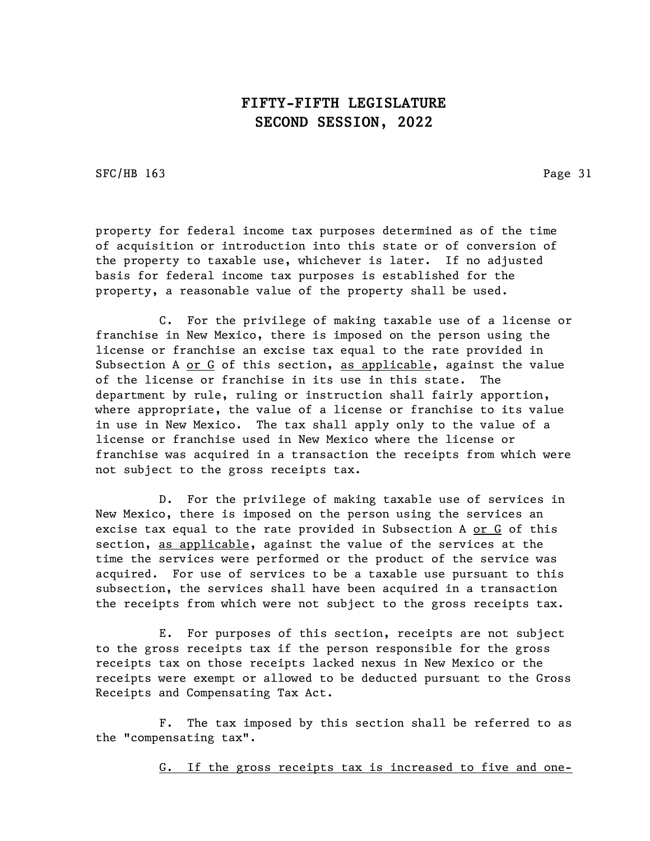SFC/HB 163 Page 31

property for federal income tax purposes determined as of the time of acquisition or introduction into this state or of conversion of the property to taxable use, whichever is later. If no adjusted basis for federal income tax purposes is established for the property, a reasonable value of the property shall be used.

C. For the privilege of making taxable use of a license or franchise in New Mexico, there is imposed on the person using the license or franchise an excise tax equal to the rate provided in Subsection A or G of this section, as applicable, against the value of the license or franchise in its use in this state. The department by rule, ruling or instruction shall fairly apportion, where appropriate, the value of a license or franchise to its value in use in New Mexico. The tax shall apply only to the value of a license or franchise used in New Mexico where the license or franchise was acquired in a transaction the receipts from which were not subject to the gross receipts tax.

D. For the privilege of making taxable use of services in New Mexico, there is imposed on the person using the services an excise tax equal to the rate provided in Subsection A or G of this section, as applicable, against the value of the services at the time the services were performed or the product of the service was acquired. For use of services to be a taxable use pursuant to this subsection, the services shall have been acquired in a transaction the receipts from which were not subject to the gross receipts tax.

E. For purposes of this section, receipts are not subject to the gross receipts tax if the person responsible for the gross receipts tax on those receipts lacked nexus in New Mexico or the receipts were exempt or allowed to be deducted pursuant to the Gross Receipts and Compensating Tax Act.

F. The tax imposed by this section shall be referred to as the "compensating tax".

G. If the gross receipts tax is increased to five and one-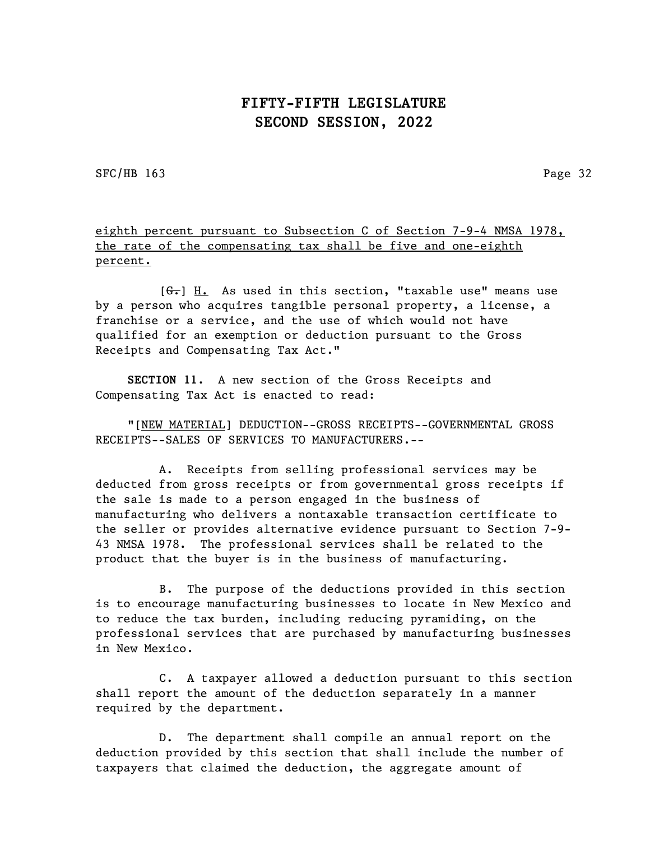SFC/HB 163 Page 32

eighth percent pursuant to Subsection C of Section 7-9-4 NMSA 1978, the rate of the compensating tax shall be five and one-eighth percent.

 $[ $\theta_{\overline{\tau}}$ ] H. As used in this section, "taxable use" means use$ by a person who acquires tangible personal property, a license, a franchise or a service, and the use of which would not have qualified for an exemption or deduction pursuant to the Gross Receipts and Compensating Tax Act."

SECTION 11. A new section of the Gross Receipts and Compensating Tax Act is enacted to read:

"[NEW MATERIAL] DEDUCTION--GROSS RECEIPTS--GOVERNMENTAL GROSS RECEIPTS--SALES OF SERVICES TO MANUFACTURERS.--

A. Receipts from selling professional services may be deducted from gross receipts or from governmental gross receipts if the sale is made to a person engaged in the business of manufacturing who delivers a nontaxable transaction certificate to the seller or provides alternative evidence pursuant to Section 7-9- 43 NMSA 1978. The professional services shall be related to the product that the buyer is in the business of manufacturing.

B. The purpose of the deductions provided in this section is to encourage manufacturing businesses to locate in New Mexico and to reduce the tax burden, including reducing pyramiding, on the professional services that are purchased by manufacturing businesses in New Mexico.

C. A taxpayer allowed a deduction pursuant to this section shall report the amount of the deduction separately in a manner required by the department.

D. The department shall compile an annual report on the deduction provided by this section that shall include the number of taxpayers that claimed the deduction, the aggregate amount of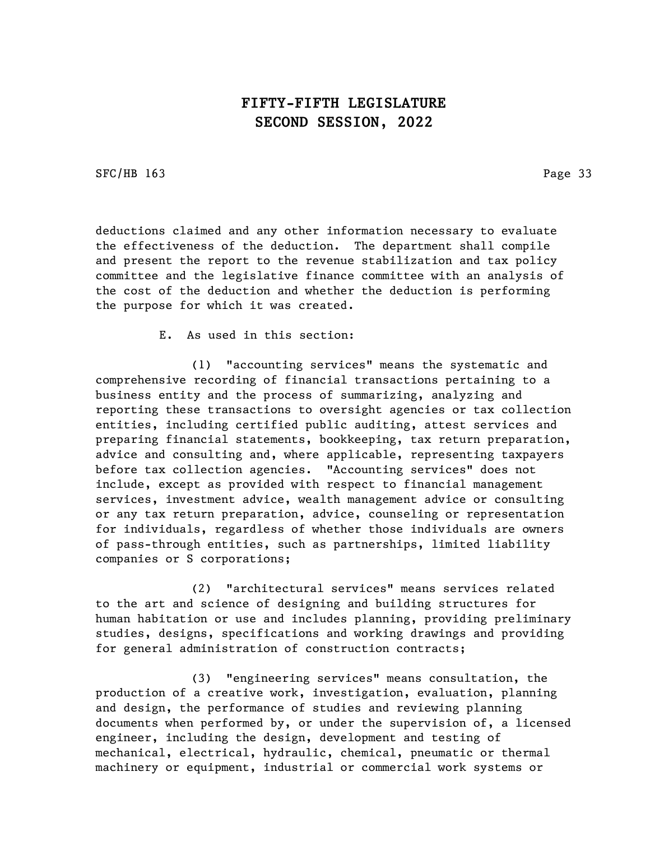SFC/HB 163 Page 33

deductions claimed and any other information necessary to evaluate the effectiveness of the deduction. The department shall compile and present the report to the revenue stabilization and tax policy committee and the legislative finance committee with an analysis of the cost of the deduction and whether the deduction is performing the purpose for which it was created.

E. As used in this section:

(1) "accounting services" means the systematic and comprehensive recording of financial transactions pertaining to a business entity and the process of summarizing, analyzing and reporting these transactions to oversight agencies or tax collection entities, including certified public auditing, attest services and preparing financial statements, bookkeeping, tax return preparation, advice and consulting and, where applicable, representing taxpayers before tax collection agencies. "Accounting services" does not include, except as provided with respect to financial management services, investment advice, wealth management advice or consulting or any tax return preparation, advice, counseling or representation for individuals, regardless of whether those individuals are owners of pass-through entities, such as partnerships, limited liability companies or S corporations;

(2) "architectural services" means services related to the art and science of designing and building structures for human habitation or use and includes planning, providing preliminary studies, designs, specifications and working drawings and providing for general administration of construction contracts;

(3) "engineering services" means consultation, the production of a creative work, investigation, evaluation, planning and design, the performance of studies and reviewing planning documents when performed by, or under the supervision of, a licensed engineer, including the design, development and testing of mechanical, electrical, hydraulic, chemical, pneumatic or thermal machinery or equipment, industrial or commercial work systems or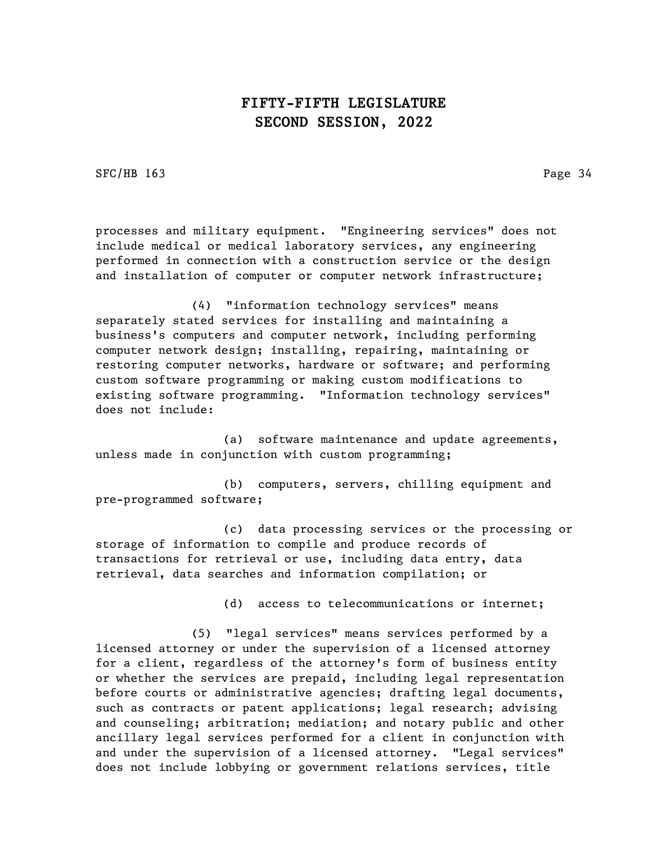SFC/HB 163 Page 34

processes and military equipment. "Engineering services" does not include medical or medical laboratory services, any engineering performed in connection with a construction service or the design and installation of computer or computer network infrastructure;

(4) "information technology services" means separately stated services for installing and maintaining a business's computers and computer network, including performing computer network design; installing, repairing, maintaining or restoring computer networks, hardware or software; and performing custom software programming or making custom modifications to existing software programming. "Information technology services" does not include:

(a) software maintenance and update agreements, unless made in conjunction with custom programming;

(b) computers, servers, chilling equipment and pre-programmed software;

(c) data processing services or the processing or storage of information to compile and produce records of transactions for retrieval or use, including data entry, data retrieval, data searches and information compilation; or

(d) access to telecommunications or internet;

(5) "legal services" means services performed by a licensed attorney or under the supervision of a licensed attorney for a client, regardless of the attorney's form of business entity or whether the services are prepaid, including legal representation before courts or administrative agencies; drafting legal documents, such as contracts or patent applications; legal research; advising and counseling; arbitration; mediation; and notary public and other ancillary legal services performed for a client in conjunction with and under the supervision of a licensed attorney. "Legal services" does not include lobbying or government relations services, title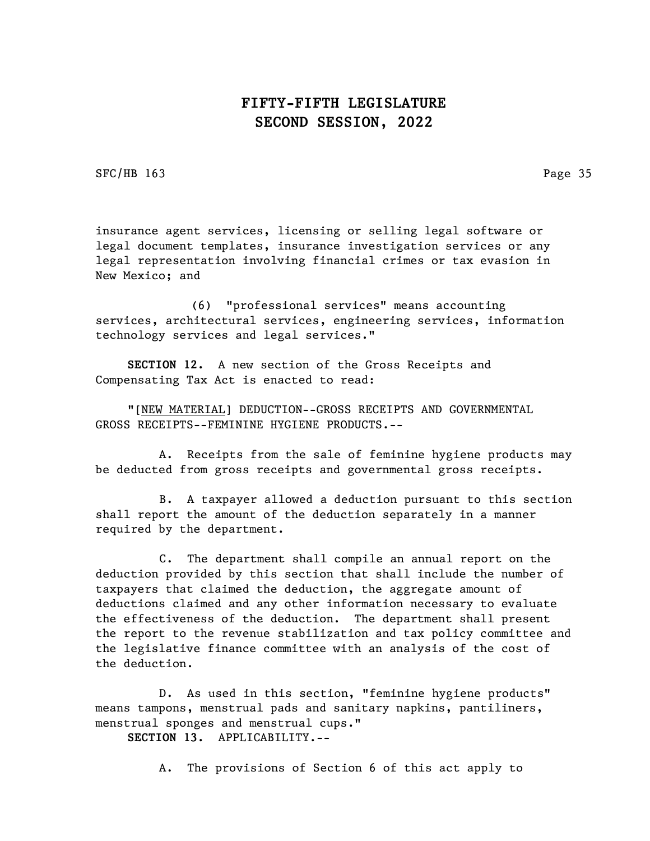SFC/HB 163 Page 35

insurance agent services, licensing or selling legal software or legal document templates, insurance investigation services or any legal representation involving financial crimes or tax evasion in New Mexico; and

(6) "professional services" means accounting services, architectural services, engineering services, information technology services and legal services."

SECTION 12. A new section of the Gross Receipts and Compensating Tax Act is enacted to read:

"[NEW MATERIAL] DEDUCTION--GROSS RECEIPTS AND GOVERNMENTAL GROSS RECEIPTS--FEMININE HYGIENE PRODUCTS.--

A. Receipts from the sale of feminine hygiene products may be deducted from gross receipts and governmental gross receipts.

B. A taxpayer allowed a deduction pursuant to this section shall report the amount of the deduction separately in a manner required by the department.

C. The department shall compile an annual report on the deduction provided by this section that shall include the number of taxpayers that claimed the deduction, the aggregate amount of deductions claimed and any other information necessary to evaluate the effectiveness of the deduction. The department shall present the report to the revenue stabilization and tax policy committee and the legislative finance committee with an analysis of the cost of the deduction.

D. As used in this section, "feminine hygiene products" means tampons, menstrual pads and sanitary napkins, pantiliners, menstrual sponges and menstrual cups."

SECTION 13. APPLICABILITY.--

A. The provisions of Section 6 of this act apply to